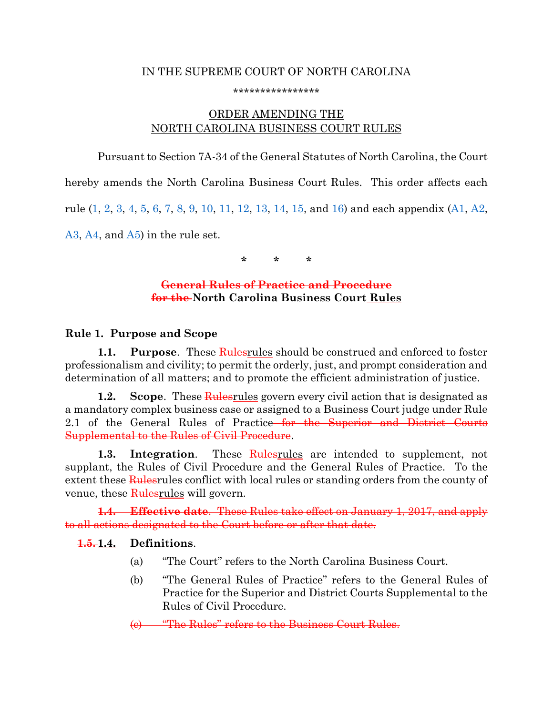#### IN THE SUPREME COURT OF NORTH CAROLINA

#### \*\*\*\*\*\*\*\*\*\*\*\*\*\*\*\*

# ORDER AMENDING THE NORTH CAROLINA BUSINESS COURT RULES

Pursuant to Section 7A-34 of the General Statutes of North Carolina, the Court hereby amends the North Carolina Business Court Rules. This order affects each rule [\(1,](#page-0-0) [2,](#page-1-0) [3,](#page-3-0) [4,](#page-7-0) [5,](#page-8-0) [6,](#page-10-0) [7,](#page-11-0) [8,](#page-16-0) [9,](#page-16-1) [10,](#page-19-0) [11,](#page-27-0) [12,](#page-27-1) [13,](#page-32-0) [14,](#page-33-0) [15,](#page-33-1) and [16\)](#page-34-0) and each appendix [\(A1,](#page-36-0) [A2,](#page-38-0) [A3,](#page-41-0) [A4,](#page-44-0) and [A5\)](#page-45-0) in the rule set.

**\* \* \***

### **General Rules of Practice and Procedure for the North Carolina Business Court Rules**

### <span id="page-0-0"></span>**Rule 1. Purpose and Scope**

**1.1. Purpose**. These **Rulesrules** should be construed and enforced to foster professionalism and civility; to permit the orderly, just, and prompt consideration and determination of all matters; and to promote the efficient administration of justice.

**1.2. Scope**. These **Rules** govern every civil action that is designated as a mandatory complex business case or assigned to a Business Court judge under Rule 2.1 of the General Rules of Practice<del> for the Superior and District Courts</del> Supplemental to the Rules of Civil Procedure.

**1.3. Integration**. These Rulesrules are intended to supplement, not supplant, the Rules of Civil Procedure and the General Rules of Practice. To the extent these Rules rules conflict with local rules or standing orders from the county of venue, these Rulesrules will govern.

**1.4. Effective date**. These Rules take effect on January 1, 2017, and apply to all actions designated to the Court before or after that date.

## **1.5. 1.4. Definitions**.

- (a) "The Court" refers to the North Carolina Business Court.
- (b) "The General Rules of Practice" refers to the General Rules of Practice for the Superior and District Courts Supplemental to the Rules of Civil Procedure.

(c) "The Rules" refers to the Business Court Rules.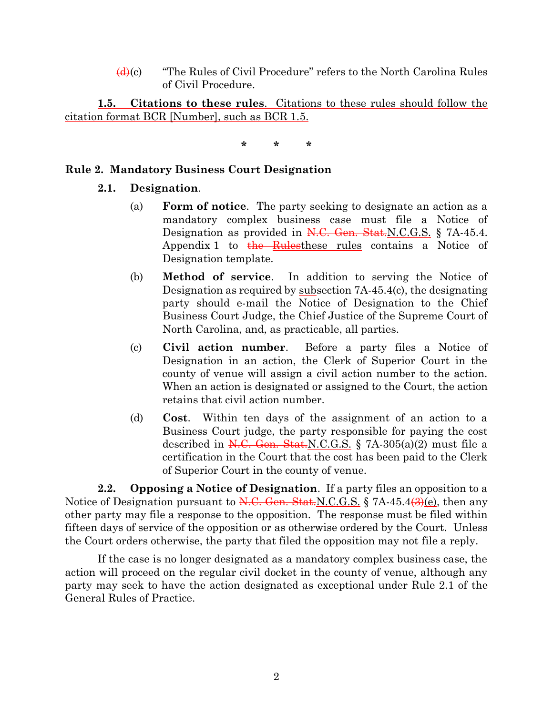$\frac{d(x)}{dx}$  "The Rules of Civil Procedure" refers to the North Carolina Rules of Civil Procedure.

**1.5. Citations to these rules**. Citations to these rules should follow the citation format BCR [Number], such as BCR 1.5.

**\* \* \***

### <span id="page-1-0"></span>**Rule 2. Mandatory Business Court Designation**

### **2.1. Designation**.

- (a) **Form of notice**. The party seeking to designate an action as a mandatory complex business case must file a Notice of Designation as provided in N.C. Gen. Stat.N.C.G.S. § 7A-45.4. Appendix 1 to the Rulesthese rules contains a Notice of Designation template.
- (b) **Method of service**. In addition to serving the Notice of Designation as required by subsection 7A-45.4(c), the designating party should e-mail the Notice of Designation to the Chief Business Court Judge, the Chief Justice of the Supreme Court of North Carolina, and, as practicable, all parties.
- (c) **Civil action number**. Before a party files a Notice of Designation in an action, the Clerk of Superior Court in the county of venue will assign a civil action number to the action. When an action is designated or assigned to the Court, the action retains that civil action number.
- (d) **Cost**. Within ten days of the assignment of an action to a Business Court judge, the party responsible for paying the cost described in  $\overline{N.C.}$  Gen. Stat.N.C.G.S. § 7A-305(a)(2) must file a certification in the Court that the cost has been paid to the Clerk of Superior Court in the county of venue.

**2.2. Opposing a Notice of Designation**. If a party files an opposition to a Notice of Designation pursuant to  $N.C.$  Gen. Stat.N.C.G.S. § 7A-45.4 $\left(\frac{3}{2}\right)(e)$ , then any other party may file a response to the opposition. The response must be filed within fifteen days of service of the opposition or as otherwise ordered by the Court. Unless the Court orders otherwise, the party that filed the opposition may not file a reply.

If the case is no longer designated as a mandatory complex business case, the action will proceed on the regular civil docket in the county of venue, although any party may seek to have the action designated as exceptional under Rule 2.1 of the General Rules of Practice.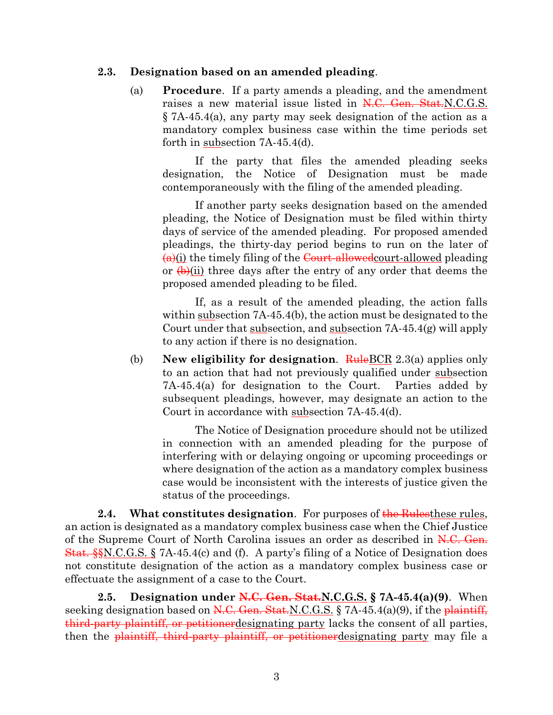#### **2.3. Designation based on an amended pleading**.

(a) **Procedure**. If a party amends a pleading, and the amendment raises a new material issue listed in N.C. Gen. Stat.N.C.G.S. § 7A-45.4(a), any party may seek designation of the action as a mandatory complex business case within the time periods set forth in subsection 7A-45.4(d).

If the party that files the amended pleading seeks designation, the Notice of Designation must be made contemporaneously with the filing of the amended pleading.

If another party seeks designation based on the amended pleading, the Notice of Designation must be filed within thirty days of service of the amended pleading. For proposed amended pleadings, the thirty-day period begins to run on the later of  $\frac{a}{i}$ (i) the timely filing of the Court-allowed court-allowed pleading or  $\left(\frac{b}{c}\right)$  (ii) three days after the entry of any order that deems the proposed amended pleading to be filed.

If, as a result of the amended pleading, the action falls within <u>subsection</u> 7A-45.4(b), the action must be designated to the Court under that subsection, and subsection 7A-45.4(g) will apply to any action if there is no designation.

(b) **New eligibility for designation.** RuleBCR 2.3(a) applies only to an action that had not previously qualified under subsection 7A-45.4(a) for designation to the Court. Parties added by subsequent pleadings, however, may designate an action to the Court in accordance with subsection 7A-45.4(d).

The Notice of Designation procedure should not be utilized in connection with an amended pleading for the purpose of interfering with or delaying ongoing or upcoming proceedings or where designation of the action as a mandatory complex business case would be inconsistent with the interests of justice given the status of the proceedings.

**2.4. What constitutes designation**. For purposes of the Rules these rules, an action is designated as a mandatory complex business case when the Chief Justice of the Supreme Court of North Carolina issues an order as described in N.C. Gen. Stat. §§N.C.G.S. § 7A-45.4(c) and (f). A party's filing of a Notice of Designation does not constitute designation of the action as a mandatory complex business case or effectuate the assignment of a case to the Court.

**2.5. Designation under N.C. Gen. Stat.N.C.G.S. § 7A-45.4(a)(9)**. When seeking designation based on  $N.C.$  Gen. Stat.  $N.C.G.S.$  § 7A-45.4(a)(9), if the plaintiff, third-party plaintiff, or petitionerdesignating party lacks the consent of all parties, then the plaintiff, third-party plaintiff, or petitioner designating party may file a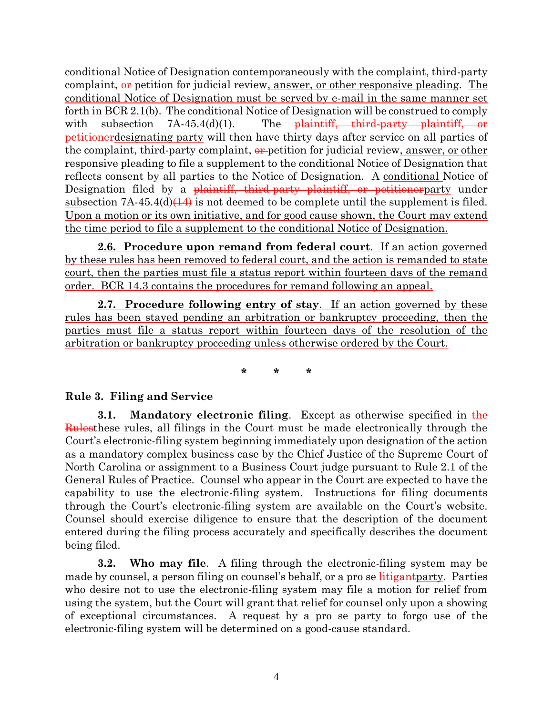conditional Notice of Designation contemporaneously with the complaint, third-party complaint,  $\theta$  -petition for judicial review, answer, or other responsive pleading. The conditional Notice of Designation must be served by e-mail in the same manner set forth in BCR 2.1(b). The conditional Notice of Designation will be construed to comply with subsection  $7A-45.4(d)(1)$ . The plaintiff, third-party plaintiff, or petitionerdesignating party will then have thirty days after service on all parties of the complaint, third-party complaint,  $\theta$  petition for judicial review, answer, or other responsive pleading to file a supplement to the conditional Notice of Designation that reflects consent by all parties to the Notice of Designation. A conditional Notice of Designation filed by a <del>plaintiff, third-party plaintiff, or petitioner</del>party under subsection  $7A-45.4(d)(14)$  is not deemed to be complete until the supplement is filed. Upon a motion or its own initiative, and for good cause shown, the Court may extend the time period to file a supplement to the conditional Notice of Designation.

**2.6. Procedure upon remand from federal court**. If an action governed by these rules has been removed to federal court, and the action is remanded to state court, then the parties must file a status report within fourteen days of the remand order. BCR 14.3 contains the procedures for remand following an appeal.

**2.7. Procedure following entry of stay**. If an action governed by these rules has been stayed pending an arbitration or bankruptcy proceeding, then the parties must file a status report within fourteen days of the resolution of the arbitration or bankruptcy proceeding unless otherwise ordered by the Court.

**\* \* \***

### <span id="page-3-0"></span>**Rule 3. Filing and Service**

**3.1. Mandatory electronic filing**. Except as otherwise specified in the Rulesthese rules, all filings in the Court must be made electronically through the Court's electronic-filing system beginning immediately upon designation of the action as a mandatory complex business case by the Chief Justice of the Supreme Court of North Carolina or assignment to a Business Court judge pursuant to Rule 2.1 of the General Rules of Practice. Counsel who appear in the Court are expected to have the capability to use the electronic-filing system. Instructions for filing documents through the Court's electronic-filing system are available on the Court's website. Counsel should exercise diligence to ensure that the description of the document entered during the filing process accurately and specifically describes the document being filed.

**3.2. Who may file**. A filing through the electronic-filing system may be made by counsel, a person filing on counsel's behalf, or a pro se **litigant** party. Parties who desire not to use the electronic-filing system may file a motion for relief from using the system, but the Court will grant that relief for counsel only upon a showing of exceptional circumstances. A request by a pro se party to forgo use of the electronic-filing system will be determined on a good-cause standard.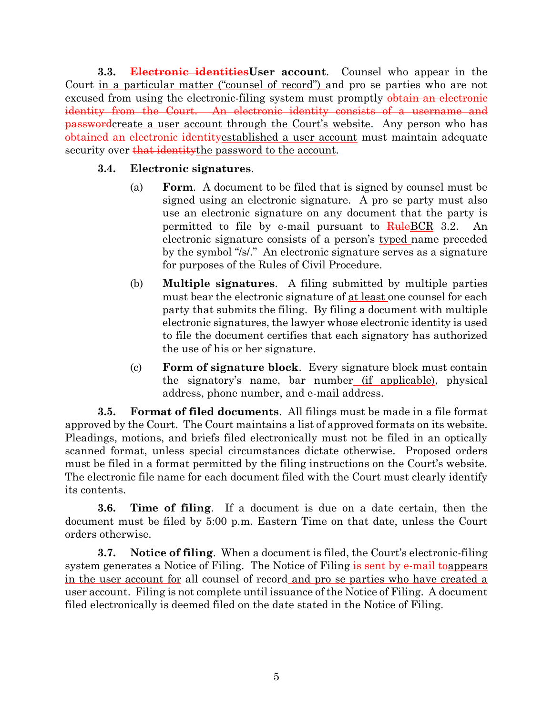**3.3. Electronic identitiesUser account**. Counsel who appear in the Court in a particular matter ("counsel of record") and pro se parties who are not excused from using the electronic-filing system must promptly obtain an electronic identity from the Court. An electronic identity consists of a username and passwordcreate a user account through the Court's website. Any person who has obtained an electronic identityestablished a user account must maintain adequate security over that identity the password to the account.

### **3.4. Electronic signatures**.

- (a) **Form**. A document to be filed that is signed by counsel must be signed using an electronic signature. A pro se party must also use an electronic signature on any document that the party is permitted to file by e-mail pursuant to RuleBCR 3.2. An electronic signature consists of a person's typed name preceded by the symbol "/s/." An electronic signature serves as a signature for purposes of the Rules of Civil Procedure.
- (b) **Multiple signatures**. A filing submitted by multiple parties must bear the electronic signature of at least one counsel for each party that submits the filing. By filing a document with multiple electronic signatures, the lawyer whose electronic identity is used to file the document certifies that each signatory has authorized the use of his or her signature.
- (c) **Form of signature block**. Every signature block must contain the signatory's name, bar number (if applicable), physical address, phone number, and e-mail address.

**3.5. Format of filed documents**. All filings must be made in a file format approved by the Court. The Court maintains a list of approved formats on its website. Pleadings, motions, and briefs filed electronically must not be filed in an optically scanned format, unless special circumstances dictate otherwise. Proposed orders must be filed in a format permitted by the filing instructions on the Court's website. The electronic file name for each document filed with the Court must clearly identify its contents.

**3.6. Time of filing**. If a document is due on a date certain, then the document must be filed by 5:00 p.m. Eastern Time on that date, unless the Court orders otherwise.

**3.7. Notice of filing**. When a document is filed, the Court's electronic-filing system generates a Notice of Filing. The Notice of Filing is sent by e-mail to appears in the user account for all counsel of record and pro se parties who have created a user account. Filing is not complete until issuance of the Notice of Filing. A document filed electronically is deemed filed on the date stated in the Notice of Filing.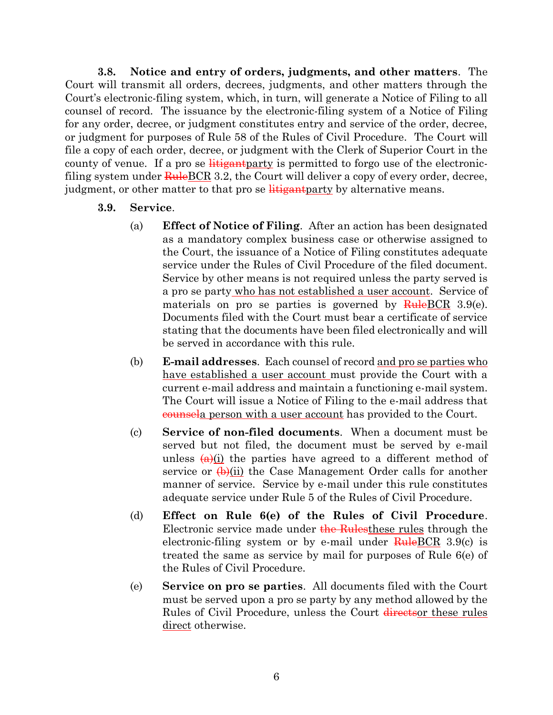**3.8. Notice and entry of orders, judgments, and other matters**. The Court will transmit all orders, decrees, judgments, and other matters through the Court's electronic-filing system, which, in turn, will generate a Notice of Filing to all counsel of record. The issuance by the electronic-filing system of a Notice of Filing for any order, decree, or judgment constitutes entry and service of the order, decree, or judgment for purposes of Rule 58 of the Rules of Civil Procedure. The Court will file a copy of each order, decree, or judgment with the Clerk of Superior Court in the county of venue. If a pro se  $\frac{1}{1}$  is permitted to forgo use of the electronicfiling system under  $\frac{\text{Rule}BCR}{\text{Rule}BCR}$  3.2, the Court will deliver a copy of every order, decree, judgment, or other matter to that pro se  $\frac{1}{1}$  is the party by alternative means.

- **3.9. Service**.
	- (a) **Effect of Notice of Filing**. After an action has been designated as a mandatory complex business case or otherwise assigned to the Court, the issuance of a Notice of Filing constitutes adequate service under the Rules of Civil Procedure of the filed document. Service by other means is not required unless the party served is a pro se party who has not established a user account. Service of materials on pro se parties is governed by  $\frac{\text{Rule}BCR}{\text{Rule}BCR}$  3.9(e). Documents filed with the Court must bear a certificate of service stating that the documents have been filed electronically and will be served in accordance with this rule.
	- (b) **E-mail addresses**. Each counsel of record and pro se parties who have established a user account must provide the Court with a current e-mail address and maintain a functioning e-mail system. The Court will issue a Notice of Filing to the e-mail address that counsela person with a user account has provided to the Court.
	- (c) **Service of non-filed documents**. When a document must be served but not filed, the document must be served by e-mail unless  $(a)(i)$  the parties have agreed to a different method of service or  $\left(\frac{b}{c}\right)$  (ii) the Case Management Order calls for another manner of service. Service by e-mail under this rule constitutes adequate service under Rule 5 of the Rules of Civil Procedure.
	- (d) **Effect on Rule 6(e) of the Rules of Civil Procedure**. Electronic service made under the Rulesthese rules through the electronic-filing system or by e-mail under  $\frac{\text{Rule}BCR}{\text{Rule}BCR}$  3.9(c) is treated the same as service by mail for purposes of Rule 6(e) of the Rules of Civil Procedure.
	- (e) **Service on pro se parties**. All documents filed with the Court must be served upon a pro se party by any method allowed by the Rules of Civil Procedure, unless the Court directsor these rules direct otherwise.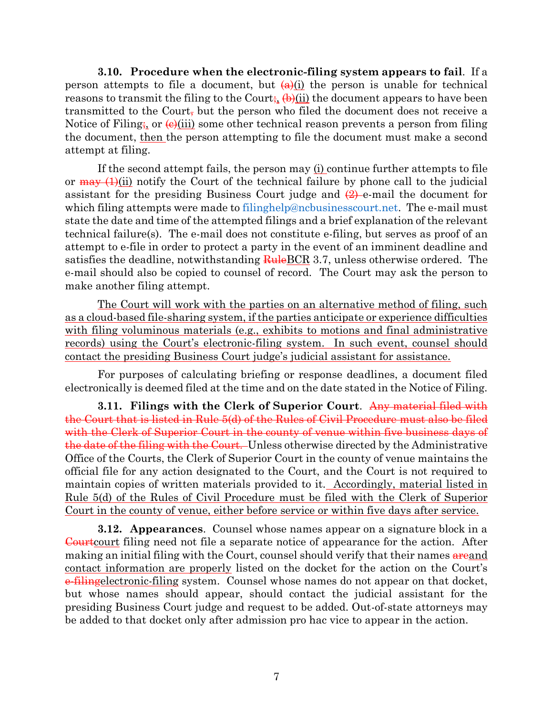**3.10. Procedure when the electronic-filing system appears to fail**. If a person attempts to file a document, but  $(a)(i)$  the person is unable for technical reasons to transmit the filing to the Court;  $\left(\frac{b}{ii}\right)$  the document appears to have been transmitted to the Court, but the person who filed the document does not receive a Notice of Filing;, or  $\Theta$ (iii) some other technical reason prevents a person from filing the document, then the person attempting to file the document must make a second attempt at filing.

If the second attempt fails, the person may (i) continue further attempts to file or  $\frac{may}{(1)(ii)}$  notify the Court of the technical failure by phone call to the judicial assistant for the presiding Business Court judge and  $(2)$  e-mail the document for which filing attempts were made to [filinghelp@ncbusinesscourt.net.](mailto:filinghelp@ncbusinesscourt.net) The e-mail must state the date and time of the attempted filings and a brief explanation of the relevant technical failure(s). The e-mail does not constitute e-filing, but serves as proof of an attempt to e-file in order to protect a party in the event of an imminent deadline and satisfies the deadline, notwithstanding  $\frac{\text{RuleBCR}}{3.7}$ , unless otherwise ordered. The e-mail should also be copied to counsel of record. The Court may ask the person to make another filing attempt.

The Court will work with the parties on an alternative method of filing, such as a cloud-based file-sharing system, if the parties anticipate or experience difficulties with filing voluminous materials (e.g., exhibits to motions and final administrative records) using the Court's electronic-filing system. In such event, counsel should contact the presiding Business Court judge's judicial assistant for assistance.

For purposes of calculating briefing or response deadlines, a document filed electronically is deemed filed at the time and on the date stated in the Notice of Filing.

**3.11. Filings with the Clerk of Superior Court**. Any material filed with the Court that is listed in Rule 5(d) of the Rules of Civil Procedure must also be filed with the Clerk of Superior Court in the county of venue within five business days of the date of the filing with the Court. Unless otherwise directed by the Administrative Office of the Courts, the Clerk of Superior Court in the county of venue maintains the official file for any action designated to the Court, and the Court is not required to maintain copies of written materials provided to it. Accordingly, material listed in Rule 5(d) of the Rules of Civil Procedure must be filed with the Clerk of Superior Court in the county of venue, either before service or within five days after service.

**3.12. Appearances**. Counsel whose names appear on a signature block in a Courtcourt filing need not file a separate notice of appearance for the action. After making an initial filing with the Court, counsel should verify that their names areand contact information are properly listed on the docket for the action on the Court's e-filingelectronic-filing system. Counsel whose names do not appear on that docket, but whose names should appear, should contact the judicial assistant for the presiding Business Court judge and request to be added. Out-of-state attorneys may be added to that docket only after admission pro hac vice to appear in the action.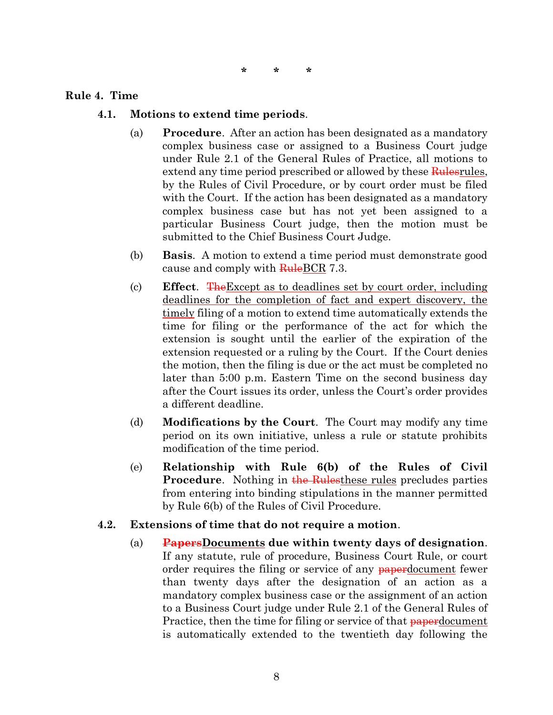#### <span id="page-7-0"></span>**Rule 4. Time**

- **4.1. Motions to extend time periods**.
	- (a) **Procedure**. After an action has been designated as a mandatory complex business case or assigned to a Business Court judge under Rule 2.1 of the General Rules of Practice, all motions to extend any time period prescribed or allowed by these **Rules** rules, by the Rules of Civil Procedure, or by court order must be filed with the Court. If the action has been designated as a mandatory complex business case but has not yet been assigned to a particular Business Court judge, then the motion must be submitted to the Chief Business Court Judge.
	- (b) **Basis**. A motion to extend a time period must demonstrate good cause and comply with RuleBCR 7.3.
	- (c) **Effect**. TheExcept as to deadlines set by court order, including deadlines for the completion of fact and expert discovery, the timely filing of a motion to extend time automatically extends the time for filing or the performance of the act for which the extension is sought until the earlier of the expiration of the extension requested or a ruling by the Court. If the Court denies the motion, then the filing is due or the act must be completed no later than 5:00 p.m. Eastern Time on the second business day after the Court issues its order, unless the Court's order provides a different deadline.
	- (d) **Modifications by the Court**. The Court may modify any time period on its own initiative, unless a rule or statute prohibits modification of the time period.
	- (e) **Relationship with Rule 6(b) of the Rules of Civil Procedure.** Nothing in the Rulesthese rules precludes parties from entering into binding stipulations in the manner permitted by Rule 6(b) of the Rules of Civil Procedure.
- **4.2. Extensions of time that do not require a motion**.
	- (a) **PapersDocuments due within twenty days of designation**. If any statute, rule of procedure, Business Court Rule, or court order requires the filing or service of any paperdocument fewer than twenty days after the designation of an action as a mandatory complex business case or the assignment of an action to a Business Court judge under Rule 2.1 of the General Rules of Practice, then the time for filing or service of that **paper** document is automatically extended to the twentieth day following the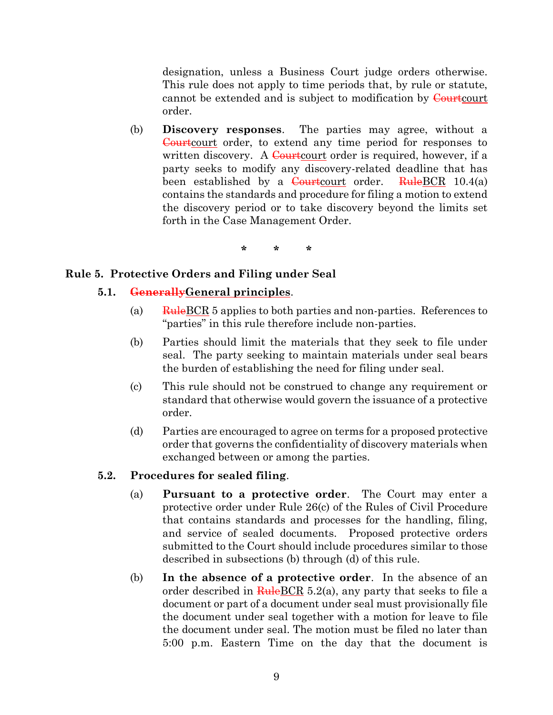designation, unless a Business Court judge orders otherwise. This rule does not apply to time periods that, by rule or statute, cannot be extended and is subject to modification by Courtcourt order.

(b) **Discovery responses**. The parties may agree, without a Courtcourt order, to extend any time period for responses to written discovery. A Courtcourt order is required, however, if a party seeks to modify any discovery-related deadline that has been established by a Courtcourt order. RuleBCR  $10.4(a)$ contains the standards and procedure for filing a motion to extend the discovery period or to take discovery beyond the limits set forth in the Case Management Order.

**\* \* \***

### <span id="page-8-0"></span>**Rule 5. Protective Orders and Filing under Seal**

### **5.1. GenerallyGeneral principles**.

- (a)  $\frac{\text{Rule}BCR}{\text{Value}BCR}$  5 applies to both parties and non-parties. References to "parties" in this rule therefore include non-parties.
- (b) Parties should limit the materials that they seek to file under seal. The party seeking to maintain materials under seal bears the burden of establishing the need for filing under seal.
- (c) This rule should not be construed to change any requirement or standard that otherwise would govern the issuance of a protective order.
- (d) Parties are encouraged to agree on terms for a proposed protective order that governs the confidentiality of discovery materials when exchanged between or among the parties.

### **5.2. Procedures for sealed filing**.

- (a) **Pursuant to a protective order**. The Court may enter a protective order under Rule 26(c) of the Rules of Civil Procedure that contains standards and processes for the handling, filing, and service of sealed documents. Proposed protective orders submitted to the Court should include procedures similar to those described in subsections (b) through (d) of this rule.
- (b) **In the absence of a protective order**. In the absence of an order described in  $\frac{\text{Rule}BCR}{\text{ReLU}}$  5.2(a), any party that seeks to file a document or part of a document under seal must provisionally file the document under seal together with a motion for leave to file the document under seal. The motion must be filed no later than 5:00 p.m. Eastern Time on the day that the document is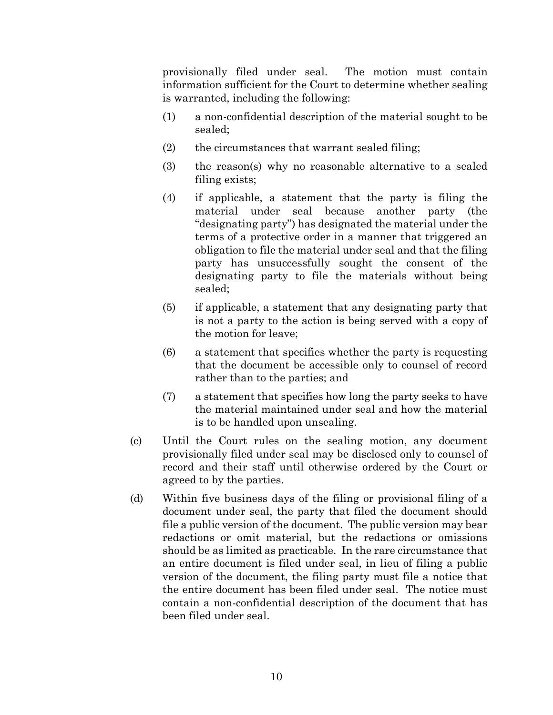provisionally filed under seal. The motion must contain information sufficient for the Court to determine whether sealing is warranted, including the following:

- (1) a non-confidential description of the material sought to be sealed;
- (2) the circumstances that warrant sealed filing;
- (3) the reason(s) why no reasonable alternative to a sealed filing exists;
- (4) if applicable, a statement that the party is filing the material under seal because another party (the "designating party") has designated the material under the terms of a protective order in a manner that triggered an obligation to file the material under seal and that the filing party has unsuccessfully sought the consent of the designating party to file the materials without being sealed;
- (5) if applicable, a statement that any designating party that is not a party to the action is being served with a copy of the motion for leave;
- (6) a statement that specifies whether the party is requesting that the document be accessible only to counsel of record rather than to the parties; and
- (7) a statement that specifies how long the party seeks to have the material maintained under seal and how the material is to be handled upon unsealing.
- (c) Until the Court rules on the sealing motion, any document provisionally filed under seal may be disclosed only to counsel of record and their staff until otherwise ordered by the Court or agreed to by the parties.
- (d) Within five business days of the filing or provisional filing of a document under seal, the party that filed the document should file a public version of the document. The public version may bear redactions or omit material, but the redactions or omissions should be as limited as practicable. In the rare circumstance that an entire document is filed under seal, in lieu of filing a public version of the document, the filing party must file a notice that the entire document has been filed under seal. The notice must contain a non-confidential description of the document that has been filed under seal.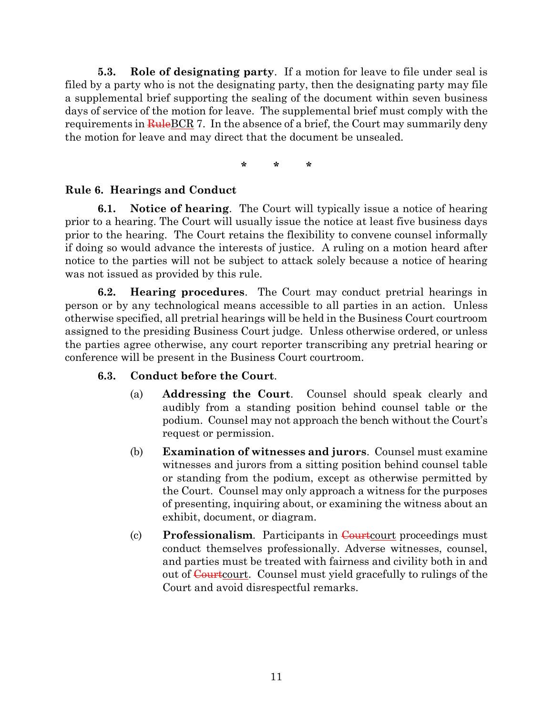**5.3. Role of designating party**. If a motion for leave to file under seal is filed by a party who is not the designating party, then the designating party may file a supplemental brief supporting the sealing of the document within seven business days of service of the motion for leave. The supplemental brief must comply with the requirements in  $\frac{\text{Rule}BCR}{n}$  7. In the absence of a brief, the Court may summarily deny the motion for leave and may direct that the document be unsealed.

**\* \* \***

### <span id="page-10-0"></span>**Rule 6. Hearings and Conduct**

**6.1. Notice of hearing**. The Court will typically issue a notice of hearing prior to a hearing. The Court will usually issue the notice at least five business days prior to the hearing. The Court retains the flexibility to convene counsel informally if doing so would advance the interests of justice. A ruling on a motion heard after notice to the parties will not be subject to attack solely because a notice of hearing was not issued as provided by this rule.

**6.2. Hearing procedures**. The Court may conduct pretrial hearings in person or by any technological means accessible to all parties in an action. Unless otherwise specified, all pretrial hearings will be held in the Business Court courtroom assigned to the presiding Business Court judge. Unless otherwise ordered, or unless the parties agree otherwise, any court reporter transcribing any pretrial hearing or conference will be present in the Business Court courtroom.

## **6.3. Conduct before the Court**.

- (a) **Addressing the Court**. Counsel should speak clearly and audibly from a standing position behind counsel table or the podium. Counsel may not approach the bench without the Court's request or permission.
- (b) **Examination of witnesses and jurors**. Counsel must examine witnesses and jurors from a sitting position behind counsel table or standing from the podium, except as otherwise permitted by the Court. Counsel may only approach a witness for the purposes of presenting, inquiring about, or examining the witness about an exhibit, document, or diagram.
- (c) **Professionalism.** Participants in **Court**court proceedings must conduct themselves professionally. Adverse witnesses, counsel, and parties must be treated with fairness and civility both in and out of Courtcourt. Counsel must yield gracefully to rulings of the Court and avoid disrespectful remarks.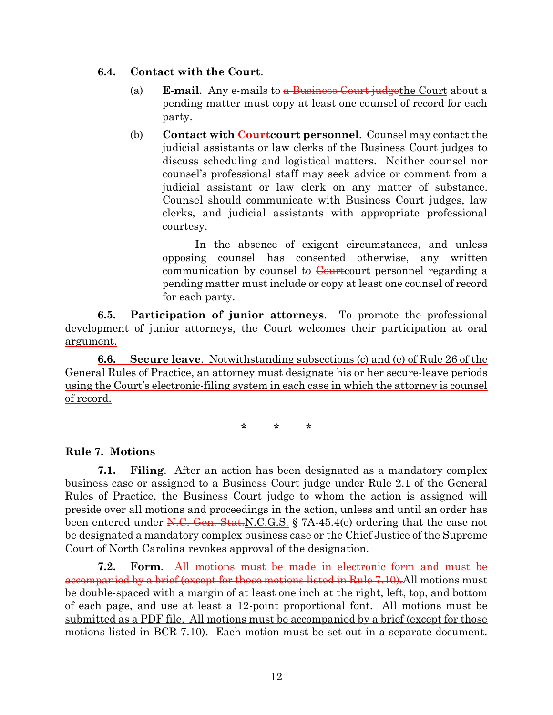### **6.4. Contact with the Court**.

- (a) **E-mail**. Any e-mails to a Business Court judgethe Court about a pending matter must copy at least one counsel of record for each party.
- (b) **Contact with Courtcourt personnel**. Counsel may contact the judicial assistants or law clerks of the Business Court judges to discuss scheduling and logistical matters. Neither counsel nor counsel's professional staff may seek advice or comment from a judicial assistant or law clerk on any matter of substance. Counsel should communicate with Business Court judges, law clerks, and judicial assistants with appropriate professional courtesy.

In the absence of exigent circumstances, and unless opposing counsel has consented otherwise, any written communication by counsel to Courtcourt personnel regarding a pending matter must include or copy at least one counsel of record for each party.

**6.5. Participation of junior attorneys**. To promote the professional development of junior attorneys, the Court welcomes their participation at oral argument.

**6.6. Secure leave**. Notwithstanding subsections (c) and (e) of Rule 26 of the General Rules of Practice, an attorney must designate his or her secure-leave periods using the Court's electronic-filing system in each case in which the attorney is counsel of record.

**\* \* \***

## <span id="page-11-0"></span>**Rule 7. Motions**

**7.1. Filing**. After an action has been designated as a mandatory complex business case or assigned to a Business Court judge under Rule 2.1 of the General Rules of Practice, the Business Court judge to whom the action is assigned will preside over all motions and proceedings in the action, unless and until an order has been entered under  $N.C.$  Gen. Stat. N.C.G.S. § 7A-45.4(e) ordering that the case not be designated a mandatory complex business case or the Chief Justice of the Supreme Court of North Carolina revokes approval of the designation.

**7.2. Form**. All motions must be made in electronic form and must be accompanied by a brief (except for those motions listed in Rule 7.10).All motions must be double-spaced with a margin of at least one inch at the right, left, top, and bottom of each page, and use at least a 12-point proportional font. All motions must be submitted as a PDF file. All motions must be accompanied by a brief (except for those motions listed in BCR 7.10). Each motion must be set out in a separate document.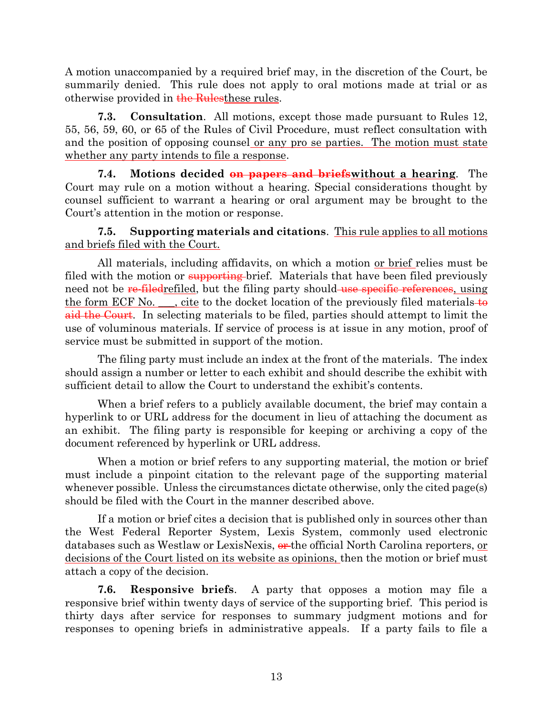A motion unaccompanied by a required brief may, in the discretion of the Court, be summarily denied. This rule does not apply to oral motions made at trial or as otherwise provided in the Rules these rules.

**7.3. Consultation**. All motions, except those made pursuant to Rules 12, 55, 56, 59, 60, or 65 of the Rules of Civil Procedure, must reflect consultation with and the position of opposing counsel or any pro se parties. The motion must state whether any party intends to file a response.

**7.4. Motions decided on papers and briefswithout a hearing**. The Court may rule on a motion without a hearing. Special considerations thought by counsel sufficient to warrant a hearing or oral argument may be brought to the Court's attention in the motion or response.

**7.5. Supporting materials and citations**. This rule applies to all motions and briefs filed with the Court.

All materials, including affidavits, on which a motion <u>or brief</u> relies must be filed with the motion or supporting-brief. Materials that have been filed previously need not be re-filedrefiled, but the filing party should use specific references, using the form  $ECF$  No.  $\ldots$ , cite to the docket location of the previously filed materials to aid the Court. In selecting materials to be filed, parties should attempt to limit the use of voluminous materials. If service of process is at issue in any motion, proof of service must be submitted in support of the motion.

The filing party must include an index at the front of the materials. The index should assign a number or letter to each exhibit and should describe the exhibit with sufficient detail to allow the Court to understand the exhibit's contents.

When a brief refers to a publicly available document, the brief may contain a hyperlink to or URL address for the document in lieu of attaching the document as an exhibit. The filing party is responsible for keeping or archiving a copy of the document referenced by hyperlink or URL address.

When a motion or brief refers to any supporting material, the motion or brief must include a pinpoint citation to the relevant page of the supporting material whenever possible. Unless the circumstances dictate otherwise, only the cited page(s) should be filed with the Court in the manner described above.

If a motion or brief cites a decision that is published only in sources other than the West Federal Reporter System, Lexis System, commonly used electronic databases such as Westlaw or LexisNexis, or the official North Carolina reporters, or decisions of the Court listed on its website as opinions, then the motion or brief must attach a copy of the decision.

**7.6. Responsive briefs**. A party that opposes a motion may file a responsive brief within twenty days of service of the supporting brief. This period is thirty days after service for responses to summary judgment motions and for responses to opening briefs in administrative appeals. If a party fails to file a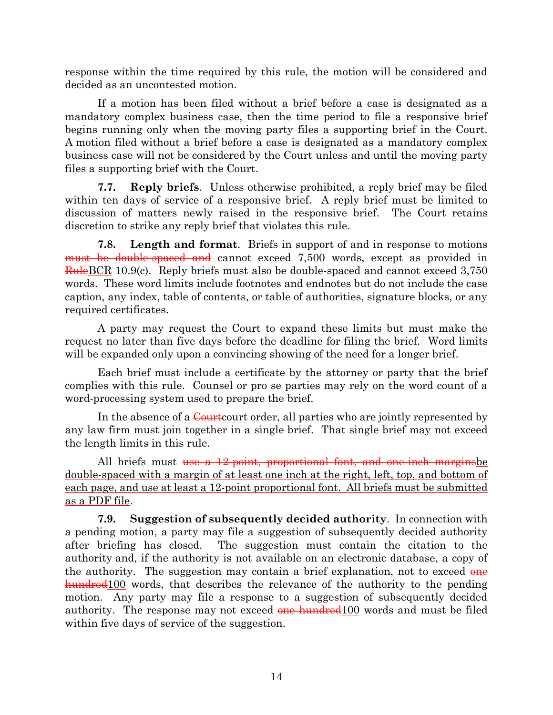response within the time required by this rule, the motion will be considered and decided as an uncontested motion.

If a motion has been filed without a brief before a case is designated as a mandatory complex business case, then the time period to file a responsive brief begins running only when the moving party files a supporting brief in the Court. A motion filed without a brief before a case is designated as a mandatory complex business case will not be considered by the Court unless and until the moving party files a supporting brief with the Court.

**7.7. Reply briefs**. Unless otherwise prohibited, a reply brief may be filed within ten days of service of a responsive brief. A reply brief must be limited to discussion of matters newly raised in the responsive brief. The Court retains discretion to strike any reply brief that violates this rule.

**7.8. Length and format**. Briefs in support of and in response to motions must be double-spaced and cannot exceed 7,500 words, except as provided in RuleBCR 10.9(c). Reply briefs must also be double-spaced and cannot exceed 3,750 words. These word limits include footnotes and endnotes but do not include the case caption, any index, table of contents, or table of authorities, signature blocks, or any required certificates.

A party may request the Court to expand these limits but must make the request no later than five days before the deadline for filing the brief. Word limits will be expanded only upon a convincing showing of the need for a longer brief.

Each brief must include a certificate by the attorney or party that the brief complies with this rule. Counsel or pro se parties may rely on the word count of a word-processing system used to prepare the brief.

In the absence of a Courtcourt order, all parties who are jointly represented by any law firm must join together in a single brief. That single brief may not exceed the length limits in this rule.

All briefs must use a 12-point, proportional font, and one-inch margins be double-spaced with a margin of at least one inch at the right, left, top, and bottom of each page, and use at least a 12-point proportional font. All briefs must be submitted as a PDF file.

**7.9. Suggestion of subsequently decided authority**. In connection with a pending motion, a party may file a suggestion of subsequently decided authority after briefing has closed. The suggestion must contain the citation to the authority and, if the authority is not available on an electronic database, a copy of the authority. The suggestion may contain a brief explanation, not to exceed  $\theta$ hundred<sup>100</sup> words, that describes the relevance of the authority to the pending motion. Any party may file a response to a suggestion of subsequently decided authority. The response may not exceed one hundred 100 words and must be filed within five days of service of the suggestion.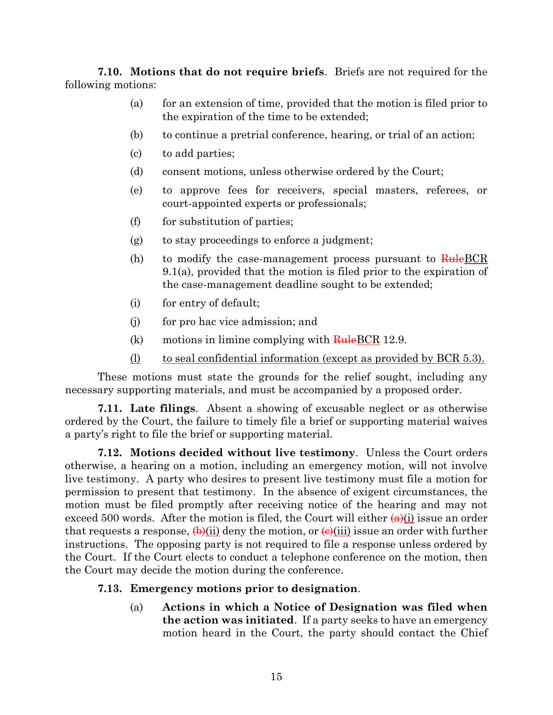**7.10. Motions that do not require briefs**. Briefs are not required for the following motions:

- (a) for an extension of time, provided that the motion is filed prior to the expiration of the time to be extended;
- (b) to continue a pretrial conference, hearing, or trial of an action;
- (c) to add parties;
- (d) consent motions, unless otherwise ordered by the Court;
- (e) to approve fees for receivers, special masters, referees, or court-appointed experts or professionals;
- (f) for substitution of parties;
- (g) to stay proceedings to enforce a judgment;
- (h) to modify the case-management process pursuant to  $\overline{\text{Rule}}$  BCR 9.1(a), provided that the motion is filed prior to the expiration of the case-management deadline sought to be extended;
- (i) for entry of default;
- (j) for pro hac vice admission; and
- (k) motions in limine complying with  $\frac{\text{Rule}BCR}{\text{Rule}BCR}$  12.9.
- (l) to seal confidential information (except as provided by BCR 5.3).

These motions must state the grounds for the relief sought, including any necessary supporting materials, and must be accompanied by a proposed order.

**7.11. Late filings**. Absent a showing of excusable neglect or as otherwise ordered by the Court, the failure to timely file a brief or supporting material waives a party's right to file the brief or supporting material.

**7.12. Motions decided without live testimony**. Unless the Court orders otherwise, a hearing on a motion, including an emergency motion, will not involve live testimony. A party who desires to present live testimony must file a motion for permission to present that testimony. In the absence of exigent circumstances, the motion must be filed promptly after receiving notice of the hearing and may not exceed 500 words. After the motion is filed, the Court will either  $(a)(i)$  issue an order that requests a response,  $\left(\phi\right)(ii)$  deny the motion, or  $\left(\phi\right)(iii)$  issue an order with further instructions. The opposing party is not required to file a response unless ordered by the Court. If the Court elects to conduct a telephone conference on the motion, then the Court may decide the motion during the conference.

### **7.13. Emergency motions prior to designation**.

(a) **Actions in which a Notice of Designation was filed when the action was initiated**. If a party seeks to have an emergency motion heard in the Court, the party should contact the Chief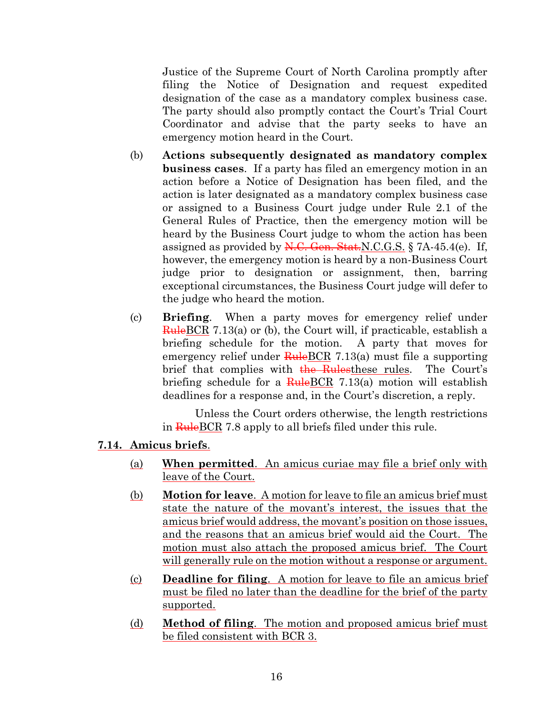Justice of the Supreme Court of North Carolina promptly after filing the Notice of Designation and request expedited designation of the case as a mandatory complex business case. The party should also promptly contact the Court's Trial Court Coordinator and advise that the party seeks to have an emergency motion heard in the Court.

- (b) **Actions subsequently designated as mandatory complex business cases**. If a party has filed an emergency motion in an action before a Notice of Designation has been filed, and the action is later designated as a mandatory complex business case or assigned to a Business Court judge under Rule 2.1 of the General Rules of Practice, then the emergency motion will be heard by the Business Court judge to whom the action has been assigned as provided by  $N.C.$  Gen. Stat.  $N.C.G.S. \$  7A-45.4(e). If, however, the emergency motion is heard by a non-Business Court judge prior to designation or assignment, then, barring exceptional circumstances, the Business Court judge will defer to the judge who heard the motion.
- (c) **Briefing**. When a party moves for emergency relief under RuleBCR 7.13(a) or (b), the Court will, if practicable, establish a briefing schedule for the motion. A party that moves for emergency relief under  $RuleBCR$  7.13(a) must file a supporting brief that complies with the Rulesthese rules. The Court's briefing schedule for a  $\frac{\text{Rule}BCR}{1.13(a)}$  motion will establish deadlines for a response and, in the Court's discretion, a reply.

Unless the Court orders otherwise, the length restrictions in RuleBCR 7.8 apply to all briefs filed under this rule.

### **7.14. Amicus briefs**.

- (a) **When permitted**. An amicus curiae may file a brief only with leave of the Court.
- (b) **Motion for leave**. A motion for leave to file an amicus brief must state the nature of the movant's interest, the issues that the amicus brief would address, the movant's position on those issues, and the reasons that an amicus brief would aid the Court. The motion must also attach the proposed amicus brief. The Court will generally rule on the motion without a response or argument.
- (c) **Deadline for filing**. A motion for leave to file an amicus brief must be filed no later than the deadline for the brief of the party supported.
- (d) **Method of filing**. The motion and proposed amicus brief must be filed consistent with BCR 3.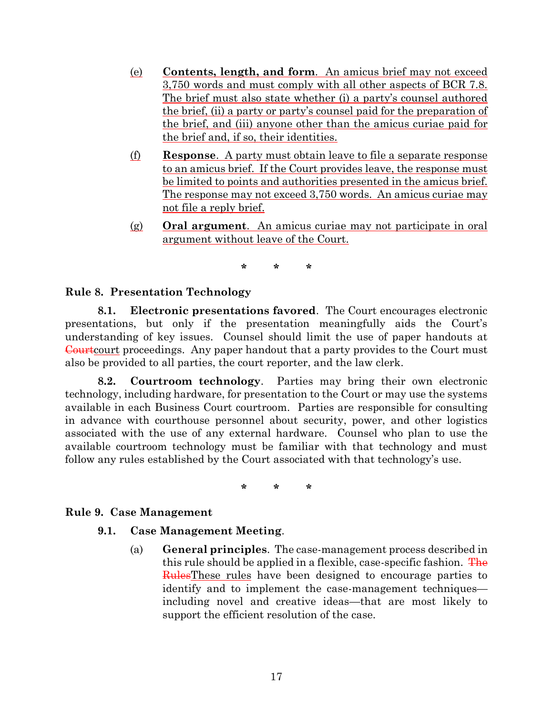- (e) **Contents, length, and form**. An amicus brief may not exceed 3,750 words and must comply with all other aspects of BCR 7.8. The brief must also state whether (i) a party's counsel authored the brief, (ii) a party or party's counsel paid for the preparation of the brief, and (iii) anyone other than the amicus curiae paid for the brief and, if so, their identities.
- (f) **Response**. A party must obtain leave to file a separate response to an amicus brief. If the Court provides leave, the response must be limited to points and authorities presented in the amicus brief. The response may not exceed 3,750 words. An amicus curiae may not file a reply brief.
- (g) **Oral argument**. An amicus curiae may not participate in oral argument without leave of the Court.

**\* \* \***

### <span id="page-16-0"></span>**Rule 8. Presentation Technology**

**8.1. Electronic presentations favored**. The Court encourages electronic presentations, but only if the presentation meaningfully aids the Court's understanding of key issues. Counsel should limit the use of paper handouts at Courtcourt proceedings. Any paper handout that a party provides to the Court must also be provided to all parties, the court reporter, and the law clerk.

**8.2. Courtroom technology**. Parties may bring their own electronic technology, including hardware, for presentation to the Court or may use the systems available in each Business Court courtroom. Parties are responsible for consulting in advance with courthouse personnel about security, power, and other logistics associated with the use of any external hardware. Counsel who plan to use the available courtroom technology must be familiar with that technology and must follow any rules established by the Court associated with that technology's use.

**\* \* \***

### <span id="page-16-1"></span>**Rule 9. Case Management**

### **9.1. Case Management Meeting**.

(a) **General principles**. The case-management process described in this rule should be applied in a flexible, case-specific fashion. The RulesThese rules have been designed to encourage parties to identify and to implement the case-management techniques including novel and creative ideas—that are most likely to support the efficient resolution of the case.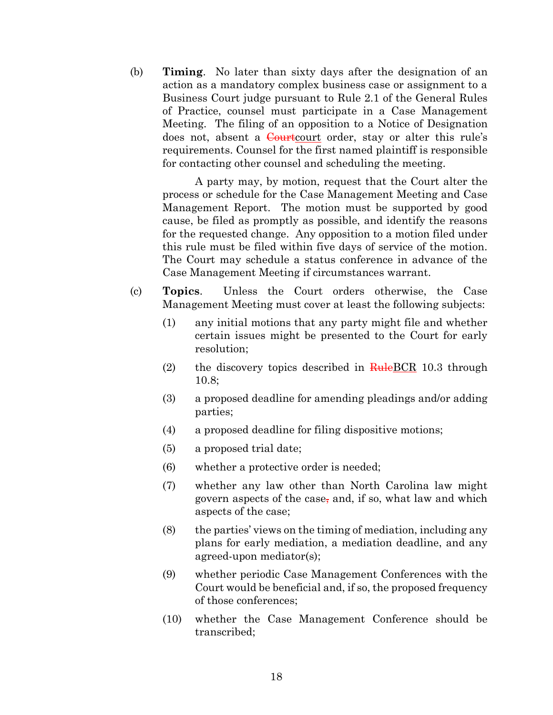(b) **Timing**. No later than sixty days after the designation of an action as a mandatory complex business case or assignment to a Business Court judge pursuant to Rule 2.1 of the General Rules of Practice, counsel must participate in a Case Management Meeting. The filing of an opposition to a Notice of Designation does not, absent a Courtcourt order, stay or alter this rule's requirements. Counsel for the first named plaintiff is responsible for contacting other counsel and scheduling the meeting.

A party may, by motion, request that the Court alter the process or schedule for the Case Management Meeting and Case Management Report. The motion must be supported by good cause, be filed as promptly as possible, and identify the reasons for the requested change. Any opposition to a motion filed under this rule must be filed within five days of service of the motion. The Court may schedule a status conference in advance of the Case Management Meeting if circumstances warrant.

- (c) **Topics**. Unless the Court orders otherwise, the Case Management Meeting must cover at least the following subjects:
	- (1) any initial motions that any party might file and whether certain issues might be presented to the Court for early resolution;
	- (2) the discovery topics described in  $\frac{\text{Rule}BCR}{\text{Rule}BCR}$  10.3 through 10.8;
	- (3) a proposed deadline for amending pleadings and/or adding parties;
	- (4) a proposed deadline for filing dispositive motions;
	- (5) a proposed trial date;
	- (6) whether a protective order is needed;
	- (7) whether any law other than North Carolina law might govern aspects of the case, and, if so, what law and which aspects of the case;
	- (8) the parties' views on the timing of mediation, including any plans for early mediation, a mediation deadline, and any agreed-upon mediator(s);
	- (9) whether periodic Case Management Conferences with the Court would be beneficial and, if so, the proposed frequency of those conferences;
	- (10) whether the Case Management Conference should be transcribed;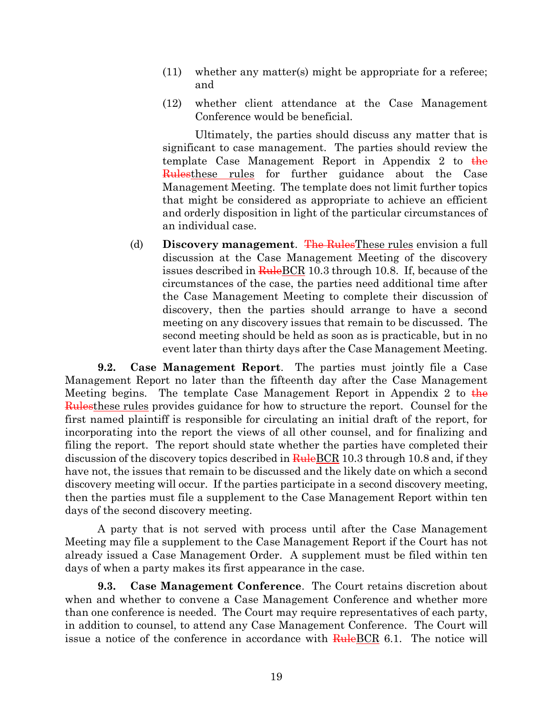- (11) whether any matter(s) might be appropriate for a referee; and
- (12) whether client attendance at the Case Management Conference would be beneficial.

Ultimately, the parties should discuss any matter that is significant to case management. The parties should review the template Case Management Report in Appendix 2 to  $\frac{1}{h}$ Rulesthese rules for further guidance about the Case Management Meeting. The template does not limit further topics that might be considered as appropriate to achieve an efficient and orderly disposition in light of the particular circumstances of an individual case.

(d) **Discovery management**. The RulesThese rules envision a full discussion at the Case Management Meeting of the discovery issues described in **Rule** BCR 10.3 through 10.8. If, because of the circumstances of the case, the parties need additional time after the Case Management Meeting to complete their discussion of discovery, then the parties should arrange to have a second meeting on any discovery issues that remain to be discussed. The second meeting should be held as soon as is practicable, but in no event later than thirty days after the Case Management Meeting.

**9.2. Case Management Report**. The parties must jointly file a Case Management Report no later than the fifteenth day after the Case Management Meeting begins. The template Case Management Report in Appendix 2 to  $\frac{1}{2}$ Rulesthese rules provides guidance for how to structure the report. Counsel for the first named plaintiff is responsible for circulating an initial draft of the report, for incorporating into the report the views of all other counsel, and for finalizing and filing the report. The report should state whether the parties have completed their discussion of the discovery topics described in RuleBCR 10.3 through 10.8 and, if they have not, the issues that remain to be discussed and the likely date on which a second discovery meeting will occur. If the parties participate in a second discovery meeting, then the parties must file a supplement to the Case Management Report within ten days of the second discovery meeting.

A party that is not served with process until after the Case Management Meeting may file a supplement to the Case Management Report if the Court has not already issued a Case Management Order. A supplement must be filed within ten days of when a party makes its first appearance in the case.

**9.3. Case Management Conference**. The Court retains discretion about when and whether to convene a Case Management Conference and whether more than one conference is needed. The Court may require representatives of each party, in addition to counsel, to attend any Case Management Conference. The Court will issue a notice of the conference in accordance with RuleBCR 6.1. The notice will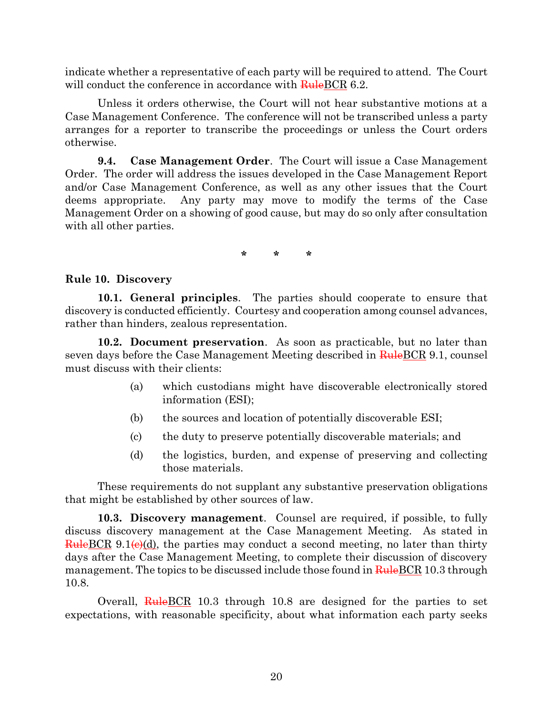indicate whether a representative of each party will be required to attend. The Court will conduct the conference in accordance with RuleBCR 6.2.

Unless it orders otherwise, the Court will not hear substantive motions at a Case Management Conference. The conference will not be transcribed unless a party arranges for a reporter to transcribe the proceedings or unless the Court orders otherwise.

**9.4. Case Management Order**. The Court will issue a Case Management Order. The order will address the issues developed in the Case Management Report and/or Case Management Conference, as well as any other issues that the Court deems appropriate. Any party may move to modify the terms of the Case Management Order on a showing of good cause, but may do so only after consultation with all other parties.

**\* \* \***

#### <span id="page-19-0"></span>**Rule 10. Discovery**

**10.1. General principles**. The parties should cooperate to ensure that discovery is conducted efficiently. Courtesy and cooperation among counsel advances, rather than hinders, zealous representation.

**10.2. Document preservation**. As soon as practicable, but no later than seven days before the Case Management Meeting described in RuleBCR 9.1, counsel must discuss with their clients:

- (a) which custodians might have discoverable electronically stored information (ESI);
- (b) the sources and location of potentially discoverable ESI;
- (c) the duty to preserve potentially discoverable materials; and
- (d) the logistics, burden, and expense of preserving and collecting those materials.

These requirements do not supplant any substantive preservation obligations that might be established by other sources of law.

**10.3. Discovery management**. Counsel are required, if possible, to fully discuss discovery management at the Case Management Meeting. As stated in  $Rule BCR 9.1 $(e)(d)$ , the parties may conduct a second meeting, no later than thirty$ days after the Case Management Meeting, to complete their discussion of discovery management. The topics to be discussed include those found in RuleBCR 10.3 through 10.8.

Overall, RuleBCR 10.3 through 10.8 are designed for the parties to set expectations, with reasonable specificity, about what information each party seeks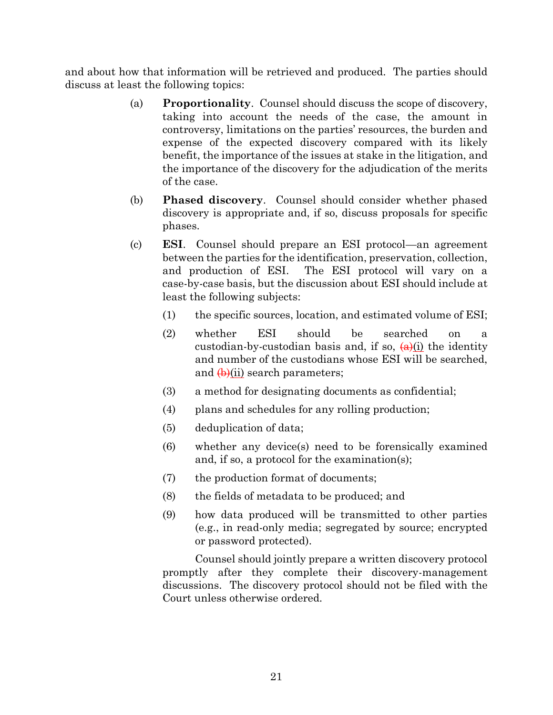and about how that information will be retrieved and produced. The parties should discuss at least the following topics:

- (a) **Proportionality**. Counsel should discuss the scope of discovery, taking into account the needs of the case, the amount in controversy, limitations on the parties' resources, the burden and expense of the expected discovery compared with its likely benefit, the importance of the issues at stake in the litigation, and the importance of the discovery for the adjudication of the merits of the case.
- (b) **Phased discovery**. Counsel should consider whether phased discovery is appropriate and, if so, discuss proposals for specific phases.
- (c) **ESI**. Counsel should prepare an ESI protocol—an agreement between the parties for the identification, preservation, collection, and production of ESI. The ESI protocol will vary on a case-by-case basis, but the discussion about ESI should include at least the following subjects:
	- (1) the specific sources, location, and estimated volume of ESI;
	- (2) whether ESI should be searched on a custodian-by-custodian basis and, if so,  $\left(\frac{a}{c}\right)$  the identity and number of the custodians whose ESI will be searched, and  $\left(\frac{1}{2}\right)$  search parameters;
	- (3) a method for designating documents as confidential;
	- (4) plans and schedules for any rolling production;
	- (5) deduplication of data;
	- (6) whether any device(s) need to be forensically examined and, if so, a protocol for the examination(s);
	- (7) the production format of documents;
	- (8) the fields of metadata to be produced; and
	- (9) how data produced will be transmitted to other parties (e.g., in read-only media; segregated by source; encrypted or password protected).

Counsel should jointly prepare a written discovery protocol promptly after they complete their discovery-management discussions. The discovery protocol should not be filed with the Court unless otherwise ordered.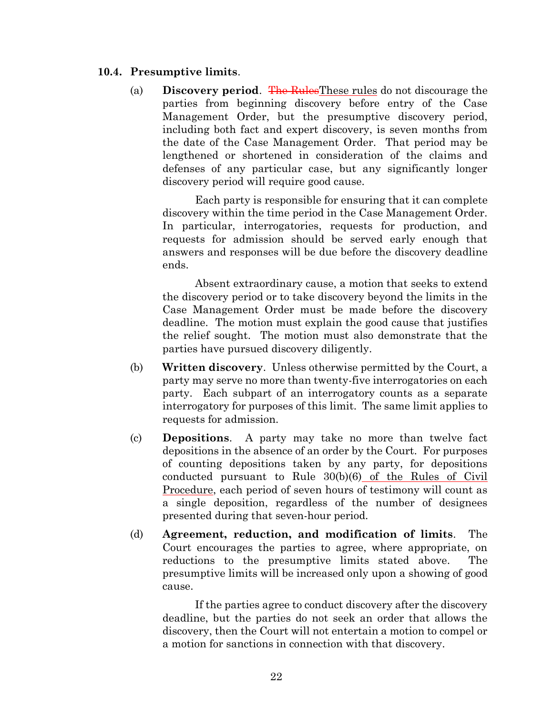#### **10.4. Presumptive limits**.

(a) **Discovery period**. The RulesThese rules do not discourage the parties from beginning discovery before entry of the Case Management Order, but the presumptive discovery period, including both fact and expert discovery, is seven months from the date of the Case Management Order. That period may be lengthened or shortened in consideration of the claims and defenses of any particular case, but any significantly longer discovery period will require good cause.

Each party is responsible for ensuring that it can complete discovery within the time period in the Case Management Order. In particular, interrogatories, requests for production, and requests for admission should be served early enough that answers and responses will be due before the discovery deadline ends.

Absent extraordinary cause, a motion that seeks to extend the discovery period or to take discovery beyond the limits in the Case Management Order must be made before the discovery deadline. The motion must explain the good cause that justifies the relief sought. The motion must also demonstrate that the parties have pursued discovery diligently.

- (b) **Written discovery**. Unless otherwise permitted by the Court, a party may serve no more than twenty-five interrogatories on each party. Each subpart of an interrogatory counts as a separate interrogatory for purposes of this limit. The same limit applies to requests for admission.
- (c) **Depositions**. A party may take no more than twelve fact depositions in the absence of an order by the Court. For purposes of counting depositions taken by any party, for depositions conducted pursuant to Rule 30(b)(6) of the Rules of Civil Procedure, each period of seven hours of testimony will count as a single deposition, regardless of the number of designees presented during that seven-hour period.
- (d) **Agreement, reduction, and modification of limits**. The Court encourages the parties to agree, where appropriate, on reductions to the presumptive limits stated above. The presumptive limits will be increased only upon a showing of good cause.

If the parties agree to conduct discovery after the discovery deadline, but the parties do not seek an order that allows the discovery, then the Court will not entertain a motion to compel or a motion for sanctions in connection with that discovery.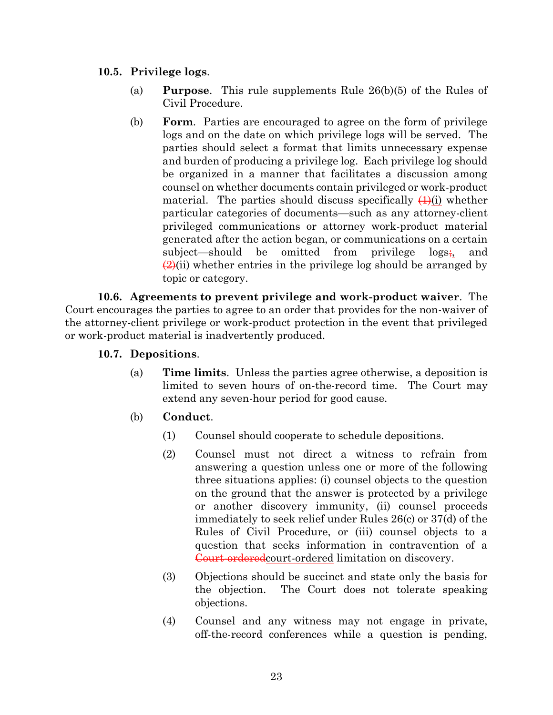### **10.5. Privilege logs**.

- (a) **Purpose**. This rule supplements Rule 26(b)(5) of the Rules of Civil Procedure.
- (b) **Form**. Parties are encouraged to agree on the form of privilege logs and on the date on which privilege logs will be served. The parties should select a format that limits unnecessary expense and burden of producing a privilege log. Each privilege log should be organized in a manner that facilitates a discussion among counsel on whether documents contain privileged or work-product material. The parties should discuss specifically  $(4)(i)$  whether particular categories of documents—such as any attorney-client privileged communications or attorney work-product material generated after the action began, or communications on a certain subject—should be omitted from privilege logs;, and  $\frac{2}{2}$ (ii) whether entries in the privilege log should be arranged by topic or category.

**10.6. Agreements to prevent privilege and work-product waiver**. The Court encourages the parties to agree to an order that provides for the non-waiver of the attorney-client privilege or work-product protection in the event that privileged or work-product material is inadvertently produced.

### **10.7. Depositions**.

(a) **Time limits**. Unless the parties agree otherwise, a deposition is limited to seven hours of on-the-record time. The Court may extend any seven-hour period for good cause.

## (b) **Conduct**.

- (1) Counsel should cooperate to schedule depositions.
- (2) Counsel must not direct a witness to refrain from answering a question unless one or more of the following three situations applies: (i) counsel objects to the question on the ground that the answer is protected by a privilege or another discovery immunity, (ii) counsel proceeds immediately to seek relief under Rules 26(c) or 37(d) of the Rules of Civil Procedure, or (iii) counsel objects to a question that seeks information in contravention of a Court-orderedcourt-ordered limitation on discovery.
- (3) Objections should be succinct and state only the basis for the objection. The Court does not tolerate speaking objections.
- (4) Counsel and any witness may not engage in private, off-the-record conferences while a question is pending,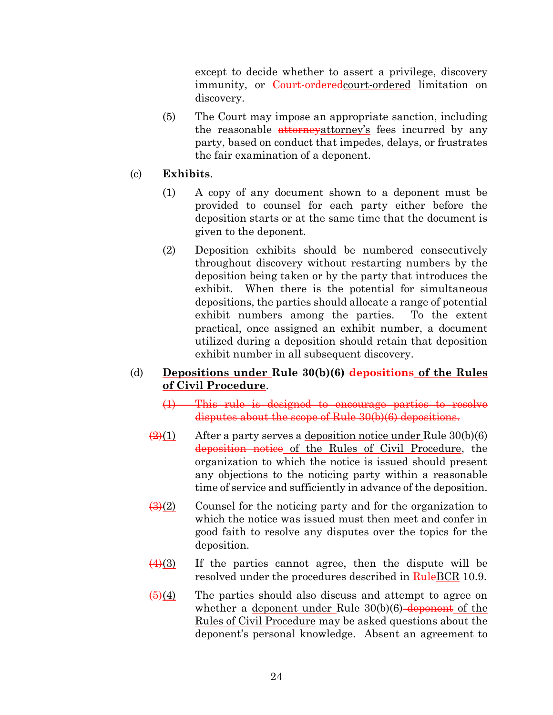except to decide whether to assert a privilege, discovery immunity, or Court-ordered court-ordered limitation on discovery.

- (5) The Court may impose an appropriate sanction, including the reasonable attorneyattorney's fees incurred by any party, based on conduct that impedes, delays, or frustrates the fair examination of a deponent.
- (c) **Exhibits**.
	- (1) A copy of any document shown to a deponent must be provided to counsel for each party either before the deposition starts or at the same time that the document is given to the deponent.
	- (2) Deposition exhibits should be numbered consecutively throughout discovery without restarting numbers by the deposition being taken or by the party that introduces the exhibit. When there is the potential for simultaneous depositions, the parties should allocate a range of potential exhibit numbers among the parties. To the extent practical, once assigned an exhibit number, a document utilized during a deposition should retain that deposition exhibit number in all subsequent discovery.

### (d) **Depositions under Rule 30(b)(6) depositions of the Rules of Civil Procedure**.

- (1) This rule is designed to encourage parties to resolve disputes about the scope of Rule 30(b)(6) depositions.
- $\frac{2}{(2)(1)}$  After a party serves a deposition notice under Rule 30(b)(6) deposition notice of the Rules of Civil Procedure, the organization to which the notice is issued should present any objections to the noticing party within a reasonable time of service and sufficiently in advance of the deposition.
- $\frac{1}{(3)(2)}$  Counsel for the noticing party and for the organization to which the notice was issued must then meet and confer in good faith to resolve any disputes over the topics for the deposition.
- $\frac{(4)(3)}{2}$  If the parties cannot agree, then the dispute will be resolved under the procedures described in RuleBCR 10.9.
- $\overline{(5)}(4)$  The parties should also discuss and attempt to agree on whether a deponent under Rule  $30(b)(6)$ -deponent of the Rules of Civil Procedure may be asked questions about the deponent's personal knowledge. Absent an agreement to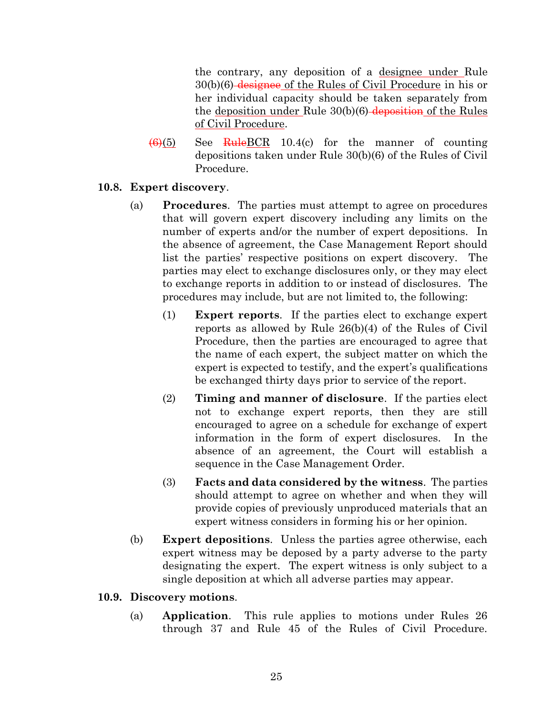the contrary, any deposition of a designee under Rule 30(b)(6) designee of the Rules of Civil Procedure in his or her individual capacity should be taken separately from the deposition under Rule  $30(b)(6)$ -deposition of the Rules of Civil Procedure.

 $\frac{1}{10}$  See RuleBCR 10.4(c) for the manner of counting depositions taken under Rule 30(b)(6) of the Rules of Civil Procedure.

### **10.8. Expert discovery**.

- (a) **Procedures**. The parties must attempt to agree on procedures that will govern expert discovery including any limits on the number of experts and/or the number of expert depositions. In the absence of agreement, the Case Management Report should list the parties' respective positions on expert discovery. The parties may elect to exchange disclosures only, or they may elect to exchange reports in addition to or instead of disclosures. The procedures may include, but are not limited to, the following:
	- (1) **Expert reports**. If the parties elect to exchange expert reports as allowed by Rule 26(b)(4) of the Rules of Civil Procedure, then the parties are encouraged to agree that the name of each expert, the subject matter on which the expert is expected to testify, and the expert's qualifications be exchanged thirty days prior to service of the report.
	- (2) **Timing and manner of disclosure**. If the parties elect not to exchange expert reports, then they are still encouraged to agree on a schedule for exchange of expert information in the form of expert disclosures. In the absence of an agreement, the Court will establish a sequence in the Case Management Order.
	- (3) **Facts and data considered by the witness**. The parties should attempt to agree on whether and when they will provide copies of previously unproduced materials that an expert witness considers in forming his or her opinion.
- (b) **Expert depositions**. Unless the parties agree otherwise, each expert witness may be deposed by a party adverse to the party designating the expert. The expert witness is only subject to a single deposition at which all adverse parties may appear.

### **10.9. Discovery motions**.

(a) **Application**. This rule applies to motions under Rules 26 through 37 and Rule 45 of the Rules of Civil Procedure.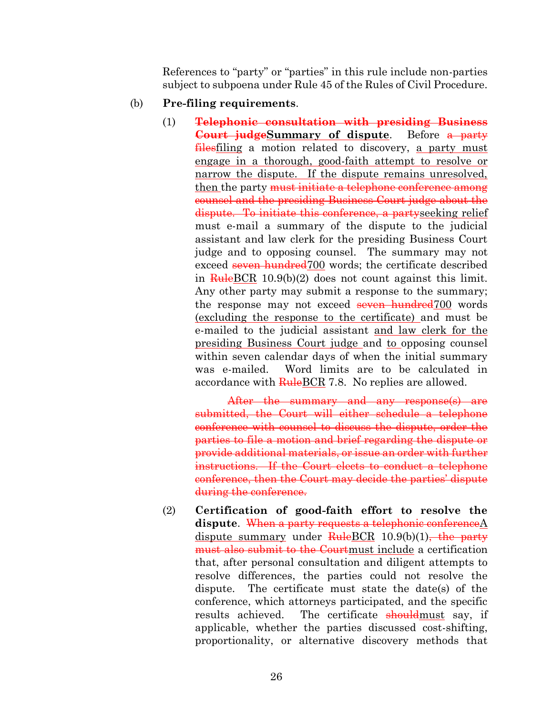References to "party" or "parties" in this rule include non-parties subject to subpoena under Rule 45 of the Rules of Civil Procedure.

#### (b) **Pre-filing requirements**.

(1) **Telephonic consultation with presiding Business Court judgeSummary of dispute**. Before a party filesfiling a motion related to discovery, a party must engage in a thorough, good-faith attempt to resolve or narrow the dispute. If the dispute remains unresolved, then the party must initiate a telephone conference among counsel and the presiding Business Court judge about the dispute. To initiate this conference, a partyseeking relief must e-mail a summary of the dispute to the judicial assistant and law clerk for the presiding Business Court judge and to opposing counsel. The summary may not exceed seven hundred<sup>700</sup> words; the certificate described in  $\frac{\text{Rule}BCR}{\text{Rule}BCR}$  10.9(b)(2) does not count against this limit. Any other party may submit a response to the summary; the response may not exceed seven hundred 700 words (excluding the response to the certificate) and must be e-mailed to the judicial assistant and law clerk for the presiding Business Court judge and to opposing counsel within seven calendar days of when the initial summary was e-mailed. Word limits are to be calculated in accordance with **RuleBCR** 7.8. No replies are allowed.

After the summary and any response(s) are submitted, the Court will either schedule a telephone conference with counsel to discuss the dispute, order the parties to file a motion and brief regarding the dispute or provide additional materials, or issue an order with further instructions. If the Court elects to conduct a telephone conference, then the Court may decide the parties' dispute during the conference.

(2) **Certification of good-faith effort to resolve the dispute**. When a party requests a telephonic conferenceA dispute summary under  $RuleBCR \t10.9(b)(1)$ , the party must also submit to the Courtmust include a certification that, after personal consultation and diligent attempts to resolve differences, the parties could not resolve the dispute. The certificate must state the date(s) of the conference, which attorneys participated, and the specific results achieved. The certificate should must say, if applicable, whether the parties discussed cost-shifting, proportionality, or alternative discovery methods that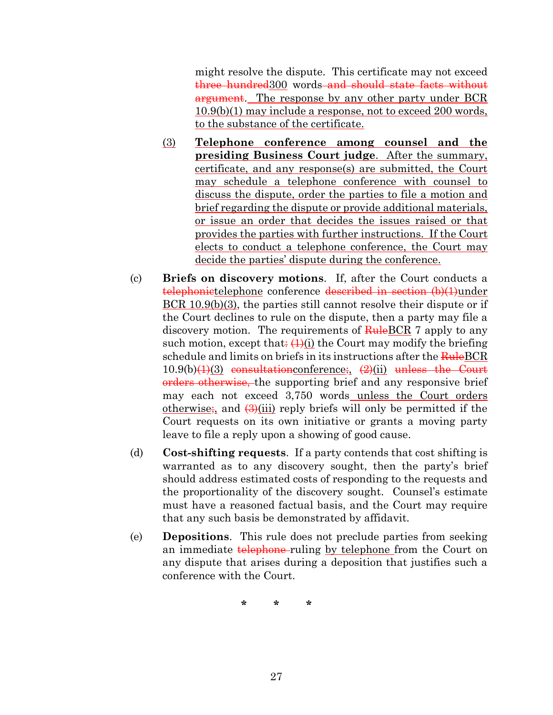might resolve the dispute. This certificate may not exceed three hundred300 words and should state facts without argument. The response by any other party under BCR 10.9(b)(1) may include a response, not to exceed 200 words, to the substance of the certificate.

- (3) **Telephone conference among counsel and the presiding Business Court judge**. After the summary, certificate, and any response(s) are submitted, the Court may schedule a telephone conference with counsel to discuss the dispute, order the parties to file a motion and brief regarding the dispute or provide additional materials, or issue an order that decides the issues raised or that provides the parties with further instructions. If the Court elects to conduct a telephone conference, the Court may decide the parties' dispute during the conference.
- (c) **Briefs on discovery motions**. If, after the Court conducts a telephonietelephone conference described in section (b)(1)under BCR 10.9(b)(3), the parties still cannot resolve their dispute or if the Court declines to rule on the dispute, then a party may file a discovery motion. The requirements of  $\frac{\text{Rule}BCR}{}$  7 apply to any such motion, except that:  $(1)(i)$  the Court may modify the briefing schedule and limits on briefs in its instructions after the **Rule**BCR  $10.9(b)(1)(3)$  consultationconference;  $(2)(ii)$  unless the Court orders otherwise, the supporting brief and any responsive brief may each not exceed 3,750 words unless the Court orders otherwise; and  $\left(\frac{3}{11}\right)$  reply briefs will only be permitted if the Court requests on its own initiative or grants a moving party leave to file a reply upon a showing of good cause.
- (d) **Cost-shifting requests**. If a party contends that cost shifting is warranted as to any discovery sought, then the party's brief should address estimated costs of responding to the requests and the proportionality of the discovery sought. Counsel's estimate must have a reasoned factual basis, and the Court may require that any such basis be demonstrated by affidavit.
- (e) **Depositions**. This rule does not preclude parties from seeking an immediate telephone ruling by telephone from the Court on any dispute that arises during a deposition that justifies such a conference with the Court.

**\* \* \***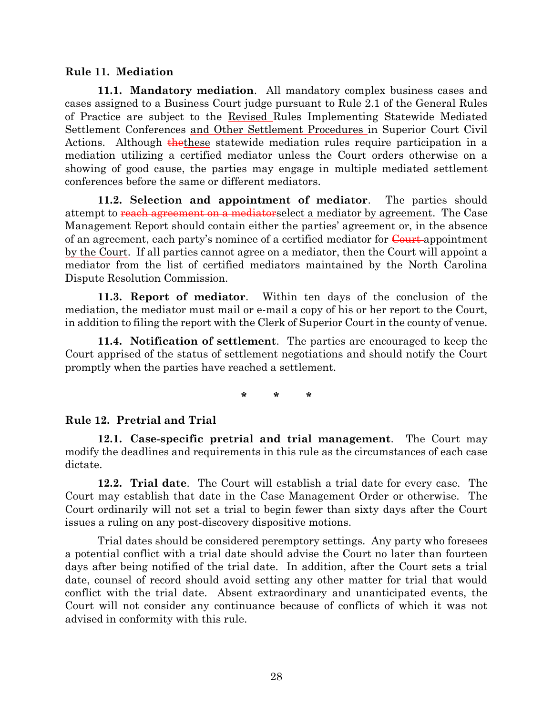#### <span id="page-27-0"></span>**Rule 11. Mediation**

**11.1. Mandatory mediation**. All mandatory complex business cases and cases assigned to a Business Court judge pursuant to Rule 2.1 of the General Rules of Practice are subject to the Revised Rules Implementing Statewide Mediated Settlement Conferences and Other Settlement Procedures in Superior Court Civil Actions. Although the these statewide mediation rules require participation in a mediation utilizing a certified mediator unless the Court orders otherwise on a showing of good cause, the parties may engage in multiple mediated settlement conferences before the same or different mediators.

**11.2. Selection and appointment of mediator**. The parties should attempt to reach agreement on a mediator select a mediator by agreement. The Case Management Report should contain either the parties' agreement or, in the absence of an agreement, each party's nominee of a certified mediator for Court appointment by the Court. If all parties cannot agree on a mediator, then the Court will appoint a mediator from the list of certified mediators maintained by the North Carolina Dispute Resolution Commission.

**11.3. Report of mediator**. Within ten days of the conclusion of the mediation, the mediator must mail or e-mail a copy of his or her report to the Court, in addition to filing the report with the Clerk of Superior Court in the county of venue.

**11.4. Notification of settlement**. The parties are encouraged to keep the Court apprised of the status of settlement negotiations and should notify the Court promptly when the parties have reached a settlement.

**\* \* \***

### <span id="page-27-1"></span>**Rule 12. Pretrial and Trial**

**12.1. Case-specific pretrial and trial management**. The Court may modify the deadlines and requirements in this rule as the circumstances of each case dictate.

**12.2. Trial date**. The Court will establish a trial date for every case. The Court may establish that date in the Case Management Order or otherwise. The Court ordinarily will not set a trial to begin fewer than sixty days after the Court issues a ruling on any post-discovery dispositive motions.

Trial dates should be considered peremptory settings. Any party who foresees a potential conflict with a trial date should advise the Court no later than fourteen days after being notified of the trial date. In addition, after the Court sets a trial date, counsel of record should avoid setting any other matter for trial that would conflict with the trial date. Absent extraordinary and unanticipated events, the Court will not consider any continuance because of conflicts of which it was not advised in conformity with this rule.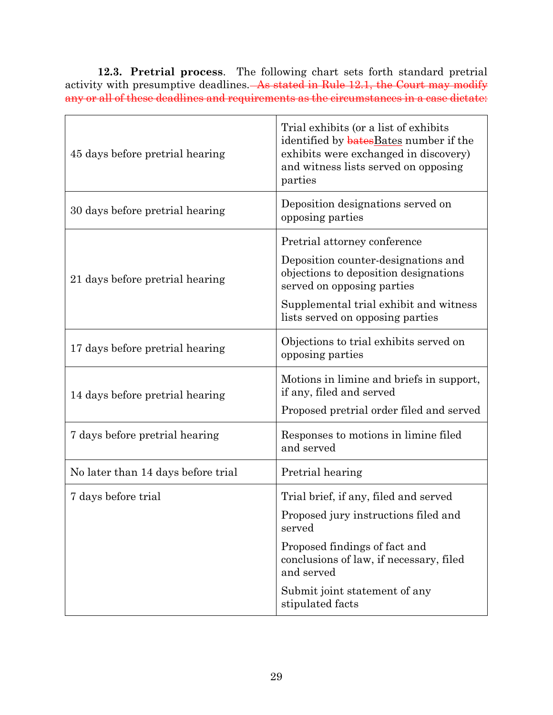**12.3. Pretrial process**. The following chart sets forth standard pretrial activity with presumptive deadlines. As stated in Rule 12.1, the Court may modify any or all of these deadlines and requirements as the circumstances in a case dictate:

| 45 days before pretrial hearing    | Trial exhibits (or a list of exhibits<br>identified by <b>bates</b> Bates number if the<br>exhibits were exchanged in discovery)<br>and witness lists served on opposing<br>parties                                      |
|------------------------------------|--------------------------------------------------------------------------------------------------------------------------------------------------------------------------------------------------------------------------|
| 30 days before pretrial hearing    | Deposition designations served on<br>opposing parties                                                                                                                                                                    |
| 21 days before pretrial hearing    | Pretrial attorney conference<br>Deposition counter-designations and<br>objections to deposition designations<br>served on opposing parties<br>Supplemental trial exhibit and witness<br>lists served on opposing parties |
| 17 days before pretrial hearing    | Objections to trial exhibits served on<br>opposing parties                                                                                                                                                               |
|                                    |                                                                                                                                                                                                                          |
| 14 days before pretrial hearing    | Motions in limine and briefs in support,<br>if any, filed and served<br>Proposed pretrial order filed and served                                                                                                         |
| 7 days before pretrial hearing     | Responses to motions in limine filed<br>and served                                                                                                                                                                       |
| No later than 14 days before trial | Pretrial hearing                                                                                                                                                                                                         |
| 7 days before trial                | Trial brief, if any, filed and served                                                                                                                                                                                    |
|                                    | Proposed jury instructions filed and<br>served                                                                                                                                                                           |
|                                    | Proposed findings of fact and<br>conclusions of law, if necessary, filed<br>and served                                                                                                                                   |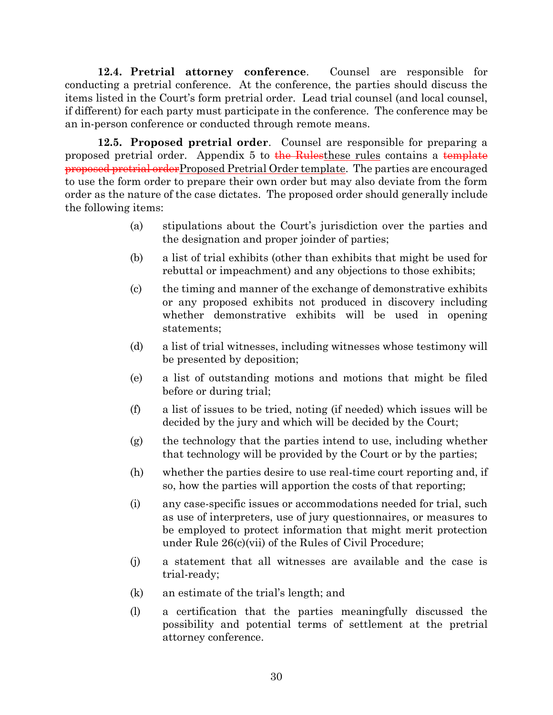**12.4. Pretrial attorney conference**. Counsel are responsible for conducting a pretrial conference. At the conference, the parties should discuss the items listed in the Court's form pretrial order. Lead trial counsel (and local counsel, if different) for each party must participate in the conference. The conference may be an in-person conference or conducted through remote means.

**12.5. Proposed pretrial order**. Counsel are responsible for preparing a proposed pretrial order. Appendix 5 to the Rulesthese rules contains a template proposed pretrial orderProposed Pretrial Order template. The parties are encouraged to use the form order to prepare their own order but may also deviate from the form order as the nature of the case dictates. The proposed order should generally include the following items:

- (a) stipulations about the Court's jurisdiction over the parties and the designation and proper joinder of parties;
- (b) a list of trial exhibits (other than exhibits that might be used for rebuttal or impeachment) and any objections to those exhibits;
- (c) the timing and manner of the exchange of demonstrative exhibits or any proposed exhibits not produced in discovery including whether demonstrative exhibits will be used in opening statements;
- (d) a list of trial witnesses, including witnesses whose testimony will be presented by deposition;
- (e) a list of outstanding motions and motions that might be filed before or during trial;
- (f) a list of issues to be tried, noting (if needed) which issues will be decided by the jury and which will be decided by the Court;
- (g) the technology that the parties intend to use, including whether that technology will be provided by the Court or by the parties;
- (h) whether the parties desire to use real-time court reporting and, if so, how the parties will apportion the costs of that reporting;
- (i) any case-specific issues or accommodations needed for trial, such as use of interpreters, use of jury questionnaires, or measures to be employed to protect information that might merit protection under Rule 26(c)(vii) of the Rules of Civil Procedure;
- (j) a statement that all witnesses are available and the case is trial-ready;
- (k) an estimate of the trial's length; and
- (l) a certification that the parties meaningfully discussed the possibility and potential terms of settlement at the pretrial attorney conference.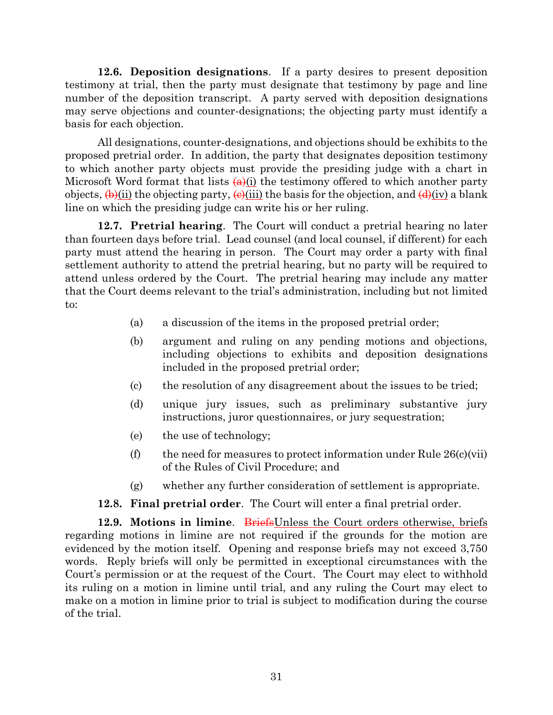**12.6. Deposition designations**. If a party desires to present deposition testimony at trial, then the party must designate that testimony by page and line number of the deposition transcript. A party served with deposition designations may serve objections and counter-designations; the objecting party must identify a basis for each objection.

All designations, counter-designations, and objections should be exhibits to the proposed pretrial order. In addition, the party that designates deposition testimony to which another party objects must provide the presiding judge with a chart in Microsoft Word format that lists  $(a)(i)$  the testimony offered to which another party objects,  $(\theta)$ (ii) the objecting party,  $(\theta)$ (iii) the basis for the objection, and  $(\theta)$ (iv) a blank line on which the presiding judge can write his or her ruling.

**12.7. Pretrial hearing**. The Court will conduct a pretrial hearing no later than fourteen days before trial. Lead counsel (and local counsel, if different) for each party must attend the hearing in person. The Court may order a party with final settlement authority to attend the pretrial hearing, but no party will be required to attend unless ordered by the Court. The pretrial hearing may include any matter that the Court deems relevant to the trial's administration, including but not limited to:

- (a) a discussion of the items in the proposed pretrial order;
- (b) argument and ruling on any pending motions and objections, including objections to exhibits and deposition designations included in the proposed pretrial order;
- (c) the resolution of any disagreement about the issues to be tried;
- (d) unique jury issues, such as preliminary substantive jury instructions, juror questionnaires, or jury sequestration;
- (e) the use of technology;
- (f) the need for measures to protect information under Rule  $26(c)(vi)$ of the Rules of Civil Procedure; and
- (g) whether any further consideration of settlement is appropriate.

### **12.8. Final pretrial order**. The Court will enter a final pretrial order.

**12.9. Motions in limine.** BriefsUnless the Court orders otherwise, briefs regarding motions in limine are not required if the grounds for the motion are evidenced by the motion itself. Opening and response briefs may not exceed 3,750 words. Reply briefs will only be permitted in exceptional circumstances with the Court's permission or at the request of the Court. The Court may elect to withhold its ruling on a motion in limine until trial, and any ruling the Court may elect to make on a motion in limine prior to trial is subject to modification during the course of the trial.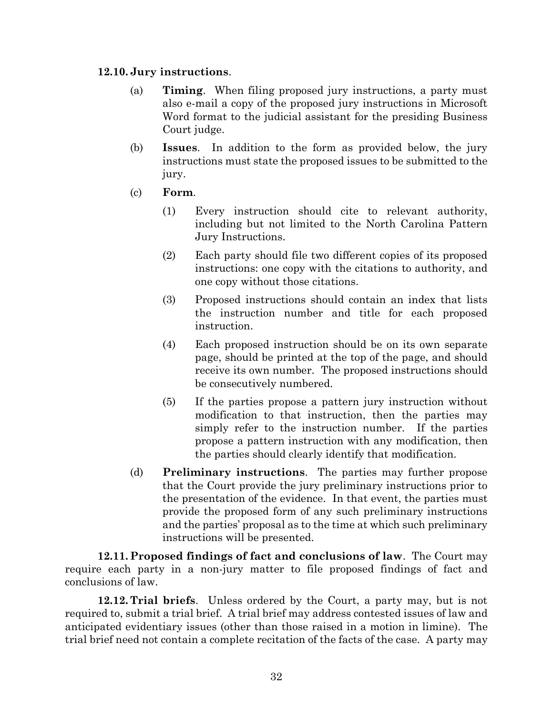#### **12.10. Jury instructions**.

- (a) **Timing**. When filing proposed jury instructions, a party must also e-mail a copy of the proposed jury instructions in Microsoft Word format to the judicial assistant for the presiding Business Court judge.
- (b) **Issues**. In addition to the form as provided below, the jury instructions must state the proposed issues to be submitted to the jury.
- (c) **Form**.
	- (1) Every instruction should cite to relevant authority, including but not limited to the North Carolina Pattern Jury Instructions.
	- (2) Each party should file two different copies of its proposed instructions: one copy with the citations to authority, and one copy without those citations.
	- (3) Proposed instructions should contain an index that lists the instruction number and title for each proposed instruction.
	- (4) Each proposed instruction should be on its own separate page, should be printed at the top of the page, and should receive its own number. The proposed instructions should be consecutively numbered.
	- (5) If the parties propose a pattern jury instruction without modification to that instruction, then the parties may simply refer to the instruction number. If the parties propose a pattern instruction with any modification, then the parties should clearly identify that modification.
- (d) **Preliminary instructions**. The parties may further propose that the Court provide the jury preliminary instructions prior to the presentation of the evidence. In that event, the parties must provide the proposed form of any such preliminary instructions and the parties' proposal as to the time at which such preliminary instructions will be presented.

**12.11. Proposed findings of fact and conclusions of law**. The Court may require each party in a non-jury matter to file proposed findings of fact and conclusions of law.

**12.12. Trial briefs**. Unless ordered by the Court, a party may, but is not required to, submit a trial brief. A trial brief may address contested issues of law and anticipated evidentiary issues (other than those raised in a motion in limine). The trial brief need not contain a complete recitation of the facts of the case. A party may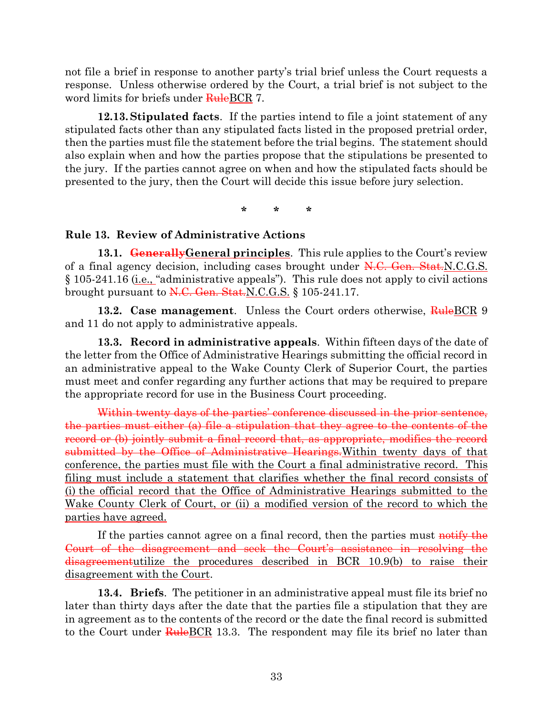not file a brief in response to another party's trial brief unless the Court requests a response. Unless otherwise ordered by the Court, a trial brief is not subject to the word limits for briefs under RuleBCR 7.

**12.13.Stipulated facts**. If the parties intend to file a joint statement of any stipulated facts other than any stipulated facts listed in the proposed pretrial order, then the parties must file the statement before the trial begins. The statement should also explain when and how the parties propose that the stipulations be presented to the jury. If the parties cannot agree on when and how the stipulated facts should be presented to the jury, then the Court will decide this issue before jury selection.

**\* \* \***

#### <span id="page-32-0"></span>**Rule 13. Review of Administrative Actions**

**13.1. GenerallyGeneral principles**. This rule applies to the Court's review of a final agency decision, including cases brought under  $N.C.$  Gen. Stat.N.C.G.S. § 105-241.16 (i.e., "administrative appeals"). This rule does not apply to civil actions brought pursuant to  $N.C.$  Gen. Stat.  $N.C.G.S.$  § 105-241.17.

**13.2. Case management**. Unless the Court orders otherwise, RuleBCR 9 and 11 do not apply to administrative appeals.

**13.3. Record in administrative appeals**. Within fifteen days of the date of the letter from the Office of Administrative Hearings submitting the official record in an administrative appeal to the Wake County Clerk of Superior Court, the parties must meet and confer regarding any further actions that may be required to prepare the appropriate record for use in the Business Court proceeding.

Within twenty days of the parties' conference discussed in the prior sentence, the parties must either (a) file a stipulation that they agree to the contents of the record or (b) jointly submit a final record that, as appropriate, modifies the record submitted by the Office of Administrative Hearings. Within twenty days of that conference, the parties must file with the Court a final administrative record. This filing must include a statement that clarifies whether the final record consists of (i) the official record that the Office of Administrative Hearings submitted to the Wake County Clerk of Court, or (ii) a modified version of the record to which the parties have agreed.

If the parties cannot agree on a final record, then the parties must notify the Court of the disagreement and seek the Court's assistance in resolving the disagreementutilize the procedures described in BCR 10.9(b) to raise their disagreement with the Court.

**13.4. Briefs**. The petitioner in an administrative appeal must file its brief no later than thirty days after the date that the parties file a stipulation that they are in agreement as to the contents of the record or the date the final record is submitted to the Court under **Rule** BCR 13.3. The respondent may file its brief no later than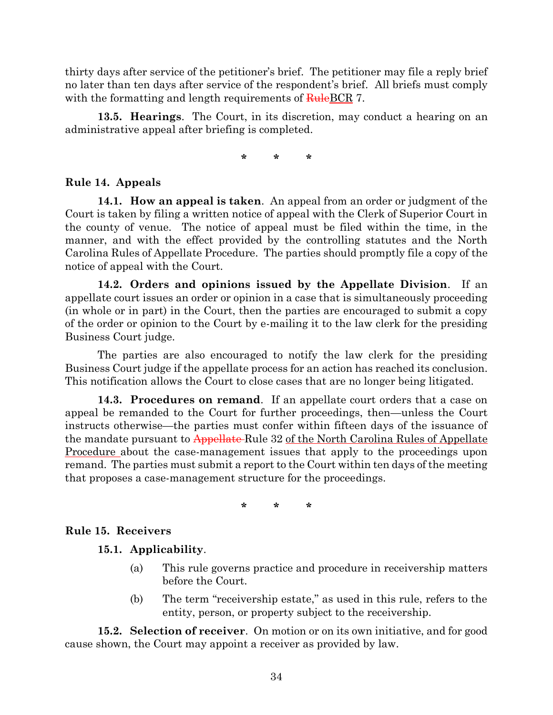thirty days after service of the petitioner's brief. The petitioner may file a reply brief no later than ten days after service of the respondent's brief. All briefs must comply with the formatting and length requirements of  $\frac{\text{Rule}BCR}{\text{Rule}BCR}$  7.

**13.5. Hearings**. The Court, in its discretion, may conduct a hearing on an administrative appeal after briefing is completed.

**\* \* \***

### <span id="page-33-0"></span>**Rule 14. Appeals**

**14.1. How an appeal is taken**. An appeal from an order or judgment of the Court is taken by filing a written notice of appeal with the Clerk of Superior Court in the county of venue. The notice of appeal must be filed within the time, in the manner, and with the effect provided by the controlling statutes and the North Carolina Rules of Appellate Procedure. The parties should promptly file a copy of the notice of appeal with the Court.

**14.2. Orders and opinions issued by the Appellate Division**. If an appellate court issues an order or opinion in a case that is simultaneously proceeding (in whole or in part) in the Court, then the parties are encouraged to submit a copy of the order or opinion to the Court by e-mailing it to the law clerk for the presiding Business Court judge.

The parties are also encouraged to notify the law clerk for the presiding Business Court judge if the appellate process for an action has reached its conclusion. This notification allows the Court to close cases that are no longer being litigated.

**14.3. Procedures on remand**. If an appellate court orders that a case on appeal be remanded to the Court for further proceedings, then—unless the Court instructs otherwise—the parties must confer within fifteen days of the issuance of the mandate pursuant to Appellate-Rule 32 of the North Carolina Rules of Appellate Procedure about the case-management issues that apply to the proceedings upon remand. The parties must submit a report to the Court within ten days of the meeting that proposes a case-management structure for the proceedings.

**\* \* \***

### <span id="page-33-1"></span>**Rule 15. Receivers**

**15.1. Applicability**.

- (a) This rule governs practice and procedure in receivership matters before the Court.
- (b) The term "receivership estate," as used in this rule, refers to the entity, person, or property subject to the receivership.

**15.2. Selection of receiver**. On motion or on its own initiative, and for good cause shown, the Court may appoint a receiver as provided by law.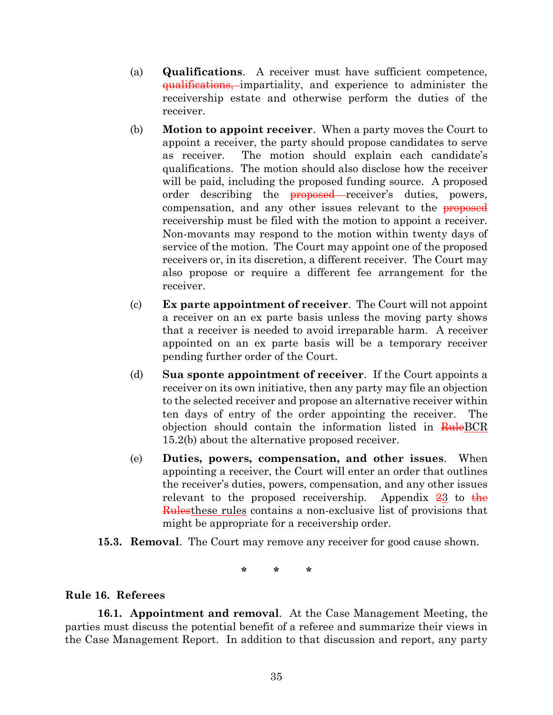- (a) **Qualifications**. A receiver must have sufficient competence, qualifications, impartiality, and experience to administer the receivership estate and otherwise perform the duties of the receiver.
- (b) **Motion to appoint receiver**. When a party moves the Court to appoint a receiver, the party should propose candidates to serve as receiver. The motion should explain each candidate's qualifications. The motion should also disclose how the receiver will be paid, including the proposed funding source. A proposed order describing the **proposed** receiver's duties, powers, compensation, and any other issues relevant to the **proposed** receivership must be filed with the motion to appoint a receiver. Non-movants may respond to the motion within twenty days of service of the motion. The Court may appoint one of the proposed receivers or, in its discretion, a different receiver. The Court may also propose or require a different fee arrangement for the receiver.
- (c) **Ex parte appointment of receiver**. The Court will not appoint a receiver on an ex parte basis unless the moving party shows that a receiver is needed to avoid irreparable harm. A receiver appointed on an ex parte basis will be a temporary receiver pending further order of the Court.
- (d) **Sua sponte appointment of receiver**. If the Court appoints a receiver on its own initiative, then any party may file an objection to the selected receiver and propose an alternative receiver within ten days of entry of the order appointing the receiver. The objection should contain the information listed in RuleBCR 15.2(b) about the alternative proposed receiver.
- (e) **Duties, powers, compensation, and other issues**. When appointing a receiver, the Court will enter an order that outlines the receiver's duties, powers, compensation, and any other issues relevant to the proposed receivership. Appendix  $23$  to the Rulesthese rules contains a non-exclusive list of provisions that might be appropriate for a receivership order.
- **15.3. Removal**. The Court may remove any receiver for good cause shown.

**\* \* \***

### <span id="page-34-0"></span>**Rule 16. Referees**

**16.1. Appointment and removal**. At the Case Management Meeting, the parties must discuss the potential benefit of a referee and summarize their views in the Case Management Report. In addition to that discussion and report, any party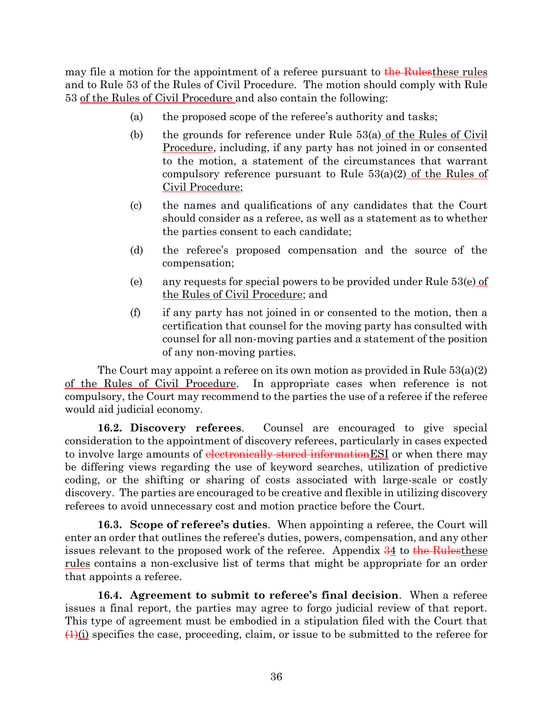may file a motion for the appointment of a referee pursuant to the Rulesthese rules and to Rule 53 of the Rules of Civil Procedure. The motion should comply with Rule 53 of the Rules of Civil Procedure and also contain the following:

- (a) the proposed scope of the referee's authority and tasks;
- (b) the grounds for reference under Rule 53(a) of the Rules of Civil Procedure, including, if any party has not joined in or consented to the motion, a statement of the circumstances that warrant compulsory reference pursuant to Rule 53(a)(2) of the Rules of Civil Procedure;
- (c) the names and qualifications of any candidates that the Court should consider as a referee, as well as a statement as to whether the parties consent to each candidate;
- (d) the referee's proposed compensation and the source of the compensation;
- (e) any requests for special powers to be provided under Rule  $53(e)$  of the Rules of Civil Procedure; and
- (f) if any party has not joined in or consented to the motion, then a certification that counsel for the moving party has consulted with counsel for all non-moving parties and a statement of the position of any non-moving parties.

The Court may appoint a referee on its own motion as provided in Rule  $53(a)(2)$ of the Rules of Civil Procedure. In appropriate cases when reference is not compulsory, the Court may recommend to the parties the use of a referee if the referee would aid judicial economy.

**16.2. Discovery referees**. Counsel are encouraged to give special consideration to the appointment of discovery referees, particularly in cases expected to involve large amounts of electronically stored information ESI or when there may be differing views regarding the use of keyword searches, utilization of predictive coding, or the shifting or sharing of costs associated with large-scale or costly discovery. The parties are encouraged to be creative and flexible in utilizing discovery referees to avoid unnecessary cost and motion practice before the Court.

**16.3. Scope of referee's duties**. When appointing a referee, the Court will enter an order that outlines the referee's duties, powers, compensation, and any other issues relevant to the proposed work of the referee. Appendix  $\frac{34}{4}$  to the Rulesthese rules contains a non-exclusive list of terms that might be appropriate for an order that appoints a referee.

**16.4. Agreement to submit to referee's final decision**. When a referee issues a final report, the parties may agree to forgo judicial review of that report. This type of agreement must be embodied in a stipulation filed with the Court that  $(1)(i)$  specifies the case, proceeding, claim, or issue to be submitted to the referee for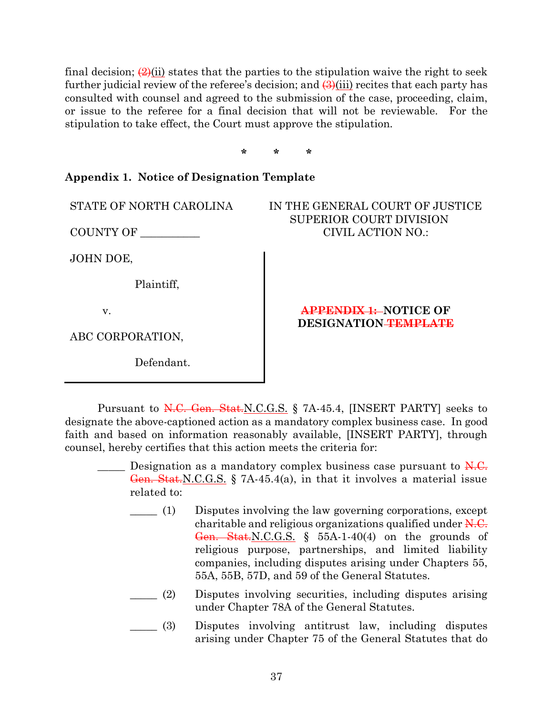final decision;  $(2)(ii)$  states that the parties to the stipulation waive the right to seek further judicial review of the referee's decision; and  $\left(\frac{\partial}{\partial t}\right)$  recites that each party has consulted with counsel and agreed to the submission of the case, proceeding, claim, or issue to the referee for a final decision that will not be reviewable. For the stipulation to take effect, the Court must approve the stipulation.

**\* \* \***

#### <span id="page-36-0"></span>**Appendix 1. Notice of Designation Template**

COUNTY OF \_\_\_\_\_\_\_\_\_\_\_

JOHN DOE,

Plaintiff,

v.

ABC CORPORATION,

Defendant.

### IN THE GENERAL COURT OF JUSTICE SUPERIOR COURT DIVISION CIVIL ACTION NO.:

#### **APPENDIX 1: NOTICE OF DESIGNATION TEMPLATE**

Pursuant to N.C. Gen. Stat. N.C. G.S. § 7A-45.4, [INSERT PARTY] seeks to designate the above-captioned action as a mandatory complex business case. In good faith and based on information reasonably available, [INSERT PARTY], through counsel, hereby certifies that this action meets the criteria for:

 $\Box$  Designation as a mandatory complex business case pursuant to  $\overline{N.C.}$ Gen. Stat. N.C.G.S. § 7A-45.4(a), in that it involves a material issue related to:

- \_\_\_\_\_ (1) Disputes involving the law governing corporations, except charitable and religious organizations qualified under N.C. Gen. Stat. N.C. G.S.  $\S$  55A-1-40(4) on the grounds of religious purpose, partnerships, and limited liability companies, including disputes arising under Chapters 55, 55A, 55B, 57D, and 59 of the General Statutes.
- \_\_\_\_\_ (2) Disputes involving securities, including disputes arising under Chapter 78A of the General Statutes.
- \_\_\_\_\_ (3) Disputes involving antitrust law, including disputes arising under Chapter 75 of the General Statutes that do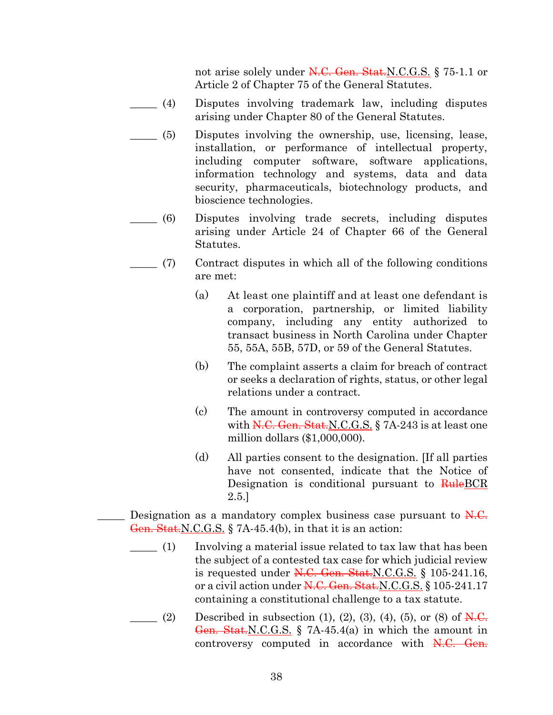not arise solely under N.C. Gen. Stat.N.C.G.S. § 75-1.1 or Article 2 of Chapter 75 of the General Statutes.

- \_\_\_\_\_ (4) Disputes involving trademark law, including disputes arising under Chapter 80 of the General Statutes.
- \_\_\_\_\_ (5) Disputes involving the ownership, use, licensing, lease, installation, or performance of intellectual property, including computer software, software applications, information technology and systems, data and data security, pharmaceuticals, biotechnology products, and bioscience technologies.
- \_\_\_\_\_ (6) Disputes involving trade secrets, including disputes arising under Article 24 of Chapter 66 of the General Statutes.
- $\Box$  (7) Contract disputes in which all of the following conditions are met:
	- (a) At least one plaintiff and at least one defendant is a corporation, partnership, or limited liability company, including any entity authorized to transact business in North Carolina under Chapter 55, 55A, 55B, 57D, or 59 of the General Statutes.
	- (b) The complaint asserts a claim for breach of contract or seeks a declaration of rights, status, or other legal relations under a contract.
	- (c) The amount in controversy computed in accordance with  $N.C.$  Gen. Stat. N.C. G. S. § 7A-243 is at least one million dollars (\$1,000,000).
	- (d) All parties consent to the designation. [If all parties have not consented, indicate that the Notice of Designation is conditional pursuant to RuleBCR 2.5.]
- **EXECUTE:** Designation as a mandatory complex business case pursuant to  $\overline{N.C.}$ Gen. Stat.N.C.G.S.  $\S$  7A-45.4(b), in that it is an action:
	- \_\_\_\_\_ (1) Involving a material issue related to tax law that has been the subject of a contested tax case for which judicial review is requested under  $N.C.$  Gen. Stat. N.C. G.S. § 105-241.16, or a civil action under N.C. Gen. Stat. N.C. G.S. § 105-241.17 containing a constitutional challenge to a tax statute.
	- $\frac{1}{2}$  (2) Described in subsection (1), (2), (3), (4), (5), or (8) of N.C. Gen. Stat.N.C.G.S. § 7A-45.4(a) in which the amount in controversy computed in accordance with N.C. Gen.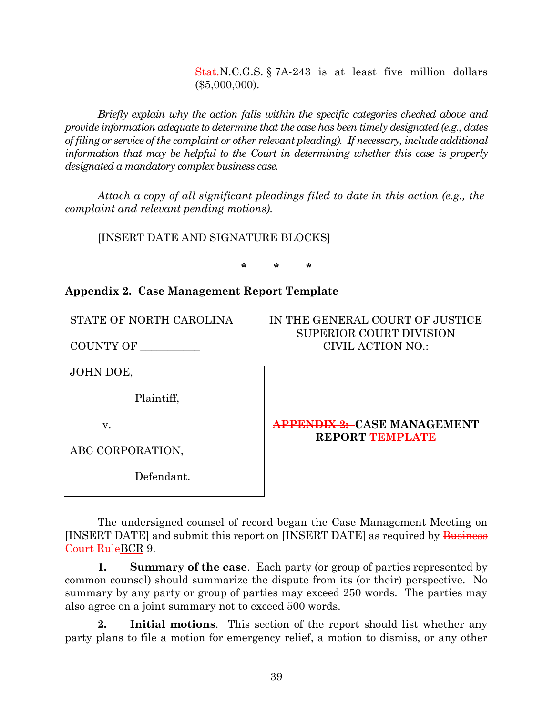Stat. N.C.G.S. § 7A-243 is at least five million dollars (\$5,000,000).

*Briefly explain why the action falls within the specific categories checked above and provide information adequate to determine that the case has been timely designated (e.g., dates of filing or service of the complaint or other relevant pleading). If necessary, include additional information that may be helpful to the Court in determining whether this case is properly designated a mandatory complex business case.*

*Attach a copy of all significant pleadings filed to date in this action (e.g., the complaint and relevant pending motions).*

[INSERT DATE AND SIGNATURE BLOCKS]

**\* \* \***

# <span id="page-38-0"></span>**Appendix 2. Case Management Report Template**

STATE OF NORTH CAROLINA

COUNTY OF \_\_\_\_\_\_\_\_\_\_\_

JOHN DOE,

Plaintiff,

v.

ABC CORPORATION,

Defendant.

IN THE GENERAL COURT OF JUSTICE SUPERIOR COURT DIVISION CIVIL ACTION NO.:

### **APPENDIX 2: CASE MANAGEMENT REPORT TEMPLATE**

The undersigned counsel of record began the Case Management Meeting on [INSERT DATE] and submit this report on [INSERT DATE] as required by Business Court RuleBCR 9.

**1. Summary of the case**. Each party (or group of parties represented by common counsel) should summarize the dispute from its (or their) perspective. No summary by any party or group of parties may exceed 250 words. The parties may also agree on a joint summary not to exceed 500 words.

**2. Initial motions**. This section of the report should list whether any party plans to file a motion for emergency relief, a motion to dismiss, or any other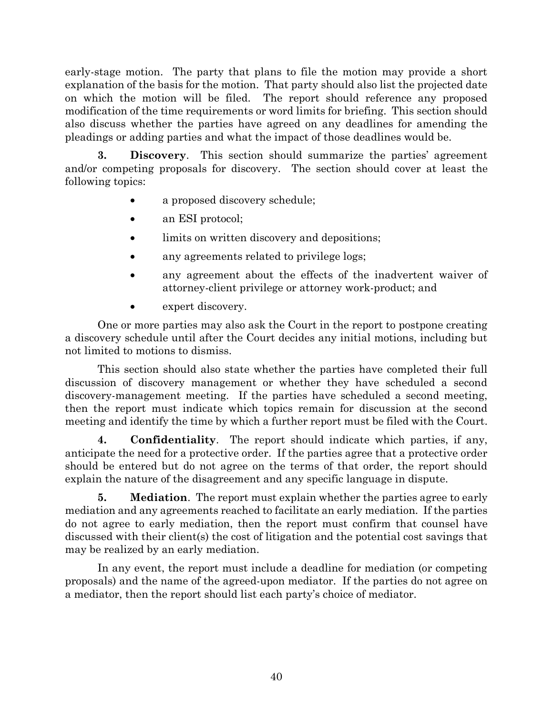early-stage motion. The party that plans to file the motion may provide a short explanation of the basis for the motion. That party should also list the projected date on which the motion will be filed. The report should reference any proposed modification of the time requirements or word limits for briefing. This section should also discuss whether the parties have agreed on any deadlines for amending the pleadings or adding parties and what the impact of those deadlines would be.

**3. Discovery**. This section should summarize the parties' agreement and/or competing proposals for discovery. The section should cover at least the following topics:

- a proposed discovery schedule;
- an ESI protocol;
- limits on written discovery and depositions;
- any agreements related to privilege logs;
- any agreement about the effects of the inadvertent waiver of attorney-client privilege or attorney work-product; and
- expert discovery.

One or more parties may also ask the Court in the report to postpone creating a discovery schedule until after the Court decides any initial motions, including but not limited to motions to dismiss.

This section should also state whether the parties have completed their full discussion of discovery management or whether they have scheduled a second discovery-management meeting. If the parties have scheduled a second meeting, then the report must indicate which topics remain for discussion at the second meeting and identify the time by which a further report must be filed with the Court.

**4. Confidentiality**. The report should indicate which parties, if any, anticipate the need for a protective order. If the parties agree that a protective order should be entered but do not agree on the terms of that order, the report should explain the nature of the disagreement and any specific language in dispute.

**5. Mediation**. The report must explain whether the parties agree to early mediation and any agreements reached to facilitate an early mediation. If the parties do not agree to early mediation, then the report must confirm that counsel have discussed with their client(s) the cost of litigation and the potential cost savings that may be realized by an early mediation.

In any event, the report must include a deadline for mediation (or competing proposals) and the name of the agreed-upon mediator. If the parties do not agree on a mediator, then the report should list each party's choice of mediator.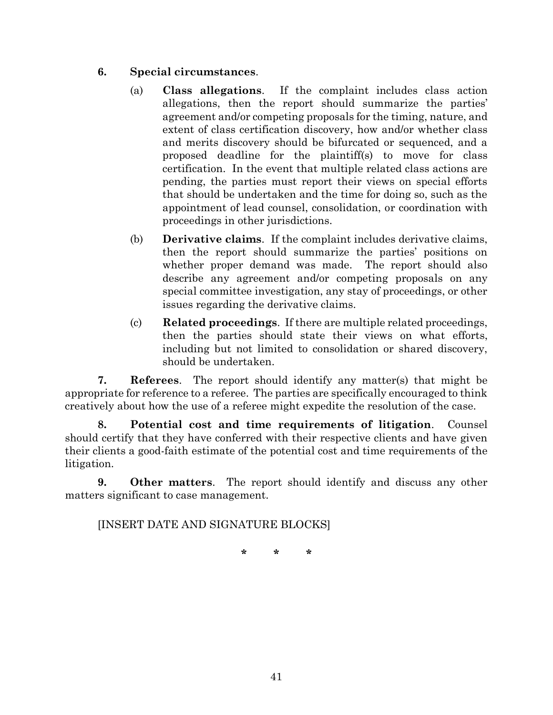### **6. Special circumstances**.

- (a) **Class allegations**. If the complaint includes class action allegations, then the report should summarize the parties' agreement and/or competing proposals for the timing, nature, and extent of class certification discovery, how and/or whether class and merits discovery should be bifurcated or sequenced, and a proposed deadline for the plaintiff(s) to move for class certification. In the event that multiple related class actions are pending, the parties must report their views on special efforts that should be undertaken and the time for doing so, such as the appointment of lead counsel, consolidation, or coordination with proceedings in other jurisdictions.
- (b) **Derivative claims**. If the complaint includes derivative claims, then the report should summarize the parties' positions on whether proper demand was made. The report should also describe any agreement and/or competing proposals on any special committee investigation, any stay of proceedings, or other issues regarding the derivative claims.
- (c) **Related proceedings**. If there are multiple related proceedings, then the parties should state their views on what efforts, including but not limited to consolidation or shared discovery, should be undertaken.

**7. Referees**. The report should identify any matter(s) that might be appropriate for reference to a referee. The parties are specifically encouraged to think creatively about how the use of a referee might expedite the resolution of the case.

**8. Potential cost and time requirements of litigation**. Counsel should certify that they have conferred with their respective clients and have given their clients a good-faith estimate of the potential cost and time requirements of the litigation.

**9. Other matters**. The report should identify and discuss any other matters significant to case management.

[INSERT DATE AND SIGNATURE BLOCKS]

**\* \* \***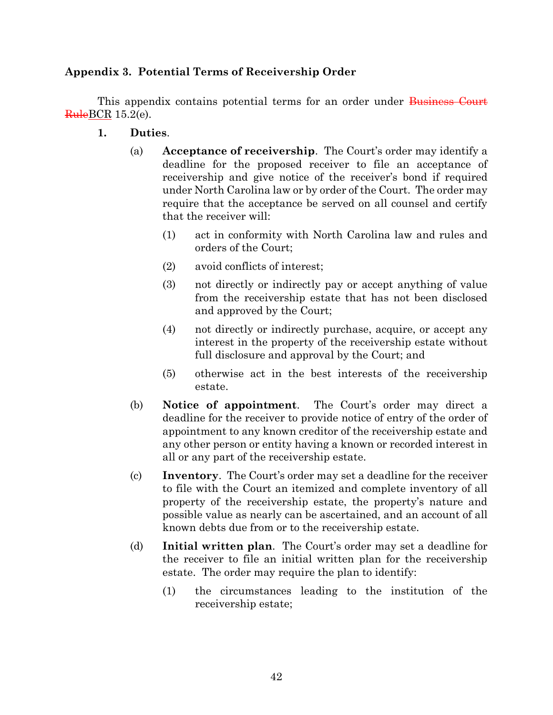## <span id="page-41-0"></span>**Appendix 3. Potential Terms of Receivership Order**

This appendix contains potential terms for an order under Business Court  $Rule BCR 15.2(e).$ 

- **1. Duties**.
	- (a) **Acceptance of receivership**. The Court's order may identify a deadline for the proposed receiver to file an acceptance of receivership and give notice of the receiver's bond if required under North Carolina law or by order of the Court. The order may require that the acceptance be served on all counsel and certify that the receiver will:
		- (1) act in conformity with North Carolina law and rules and orders of the Court;
		- (2) avoid conflicts of interest;
		- (3) not directly or indirectly pay or accept anything of value from the receivership estate that has not been disclosed and approved by the Court;
		- (4) not directly or indirectly purchase, acquire, or accept any interest in the property of the receivership estate without full disclosure and approval by the Court; and
		- (5) otherwise act in the best interests of the receivership estate.
	- (b) **Notice of appointment**. The Court's order may direct a deadline for the receiver to provide notice of entry of the order of appointment to any known creditor of the receivership estate and any other person or entity having a known or recorded interest in all or any part of the receivership estate.
	- (c) **Inventory**. The Court's order may set a deadline for the receiver to file with the Court an itemized and complete inventory of all property of the receivership estate, the property's nature and possible value as nearly can be ascertained, and an account of all known debts due from or to the receivership estate.
	- (d) **Initial written plan**. The Court's order may set a deadline for the receiver to file an initial written plan for the receivership estate. The order may require the plan to identify:
		- (1) the circumstances leading to the institution of the receivership estate;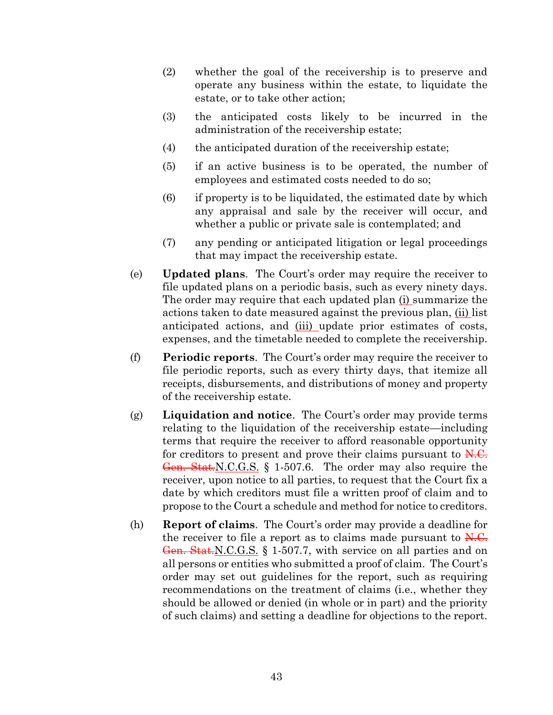- (2) whether the goal of the receivership is to preserve and operate any business within the estate, to liquidate the estate, or to take other action;
- (3) the anticipated costs likely to be incurred in the administration of the receivership estate;
- (4) the anticipated duration of the receivership estate;
- (5) if an active business is to be operated, the number of employees and estimated costs needed to do so;
- (6) if property is to be liquidated, the estimated date by which any appraisal and sale by the receiver will occur, and whether a public or private sale is contemplated; and
- (7) any pending or anticipated litigation or legal proceedings that may impact the receivership estate.
- (e) **Updated plans**. The Court's order may require the receiver to file updated plans on a periodic basis, such as every ninety days. The order may require that each updated plan (i) summarize the actions taken to date measured against the previous plan, (ii) list anticipated actions, and (iii) update prior estimates of costs, expenses, and the timetable needed to complete the receivership.
- (f) **Periodic reports**. The Court's order may require the receiver to file periodic reports, such as every thirty days, that itemize all receipts, disbursements, and distributions of money and property of the receivership estate.
- (g) **Liquidation and notice**. The Court's order may provide terms relating to the liquidation of the receivership estate—including terms that require the receiver to afford reasonable opportunity for creditors to present and prove their claims pursuant to  $\overline{N.C.}$ Gen. Stat. N.C. G.S. § 1-507.6. The order may also require the receiver, upon notice to all parties, to request that the Court fix a date by which creditors must file a written proof of claim and to propose to the Court a schedule and method for notice to creditors.
- (h) **Report of claims**. The Court's order may provide a deadline for the receiver to file a report as to claims made pursuant to  $N.C.$ Gen. Stat. N.C.G.S. § 1-507.7, with service on all parties and on all persons or entities who submitted a proof of claim. The Court's order may set out guidelines for the report, such as requiring recommendations on the treatment of claims (i.e., whether they should be allowed or denied (in whole or in part) and the priority of such claims) and setting a deadline for objections to the report.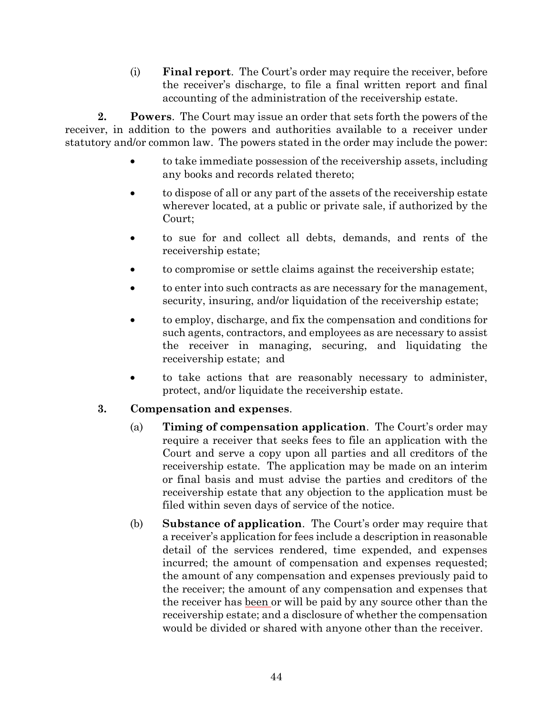(i) **Final report**. The Court's order may require the receiver, before the receiver's discharge, to file a final written report and final accounting of the administration of the receivership estate.

**2. Powers**. The Court may issue an order that sets forth the powers of the receiver, in addition to the powers and authorities available to a receiver under statutory and/or common law. The powers stated in the order may include the power:

- to take immediate possession of the receivership assets, including any books and records related thereto;
- to dispose of all or any part of the assets of the receivership estate wherever located, at a public or private sale, if authorized by the Court;
- to sue for and collect all debts, demands, and rents of the receivership estate;
- to compromise or settle claims against the receivership estate;
- to enter into such contracts as are necessary for the management, security, insuring, and/or liquidation of the receivership estate;
- to employ, discharge, and fix the compensation and conditions for such agents, contractors, and employees as are necessary to assist the receiver in managing, securing, and liquidating the receivership estate; and
- to take actions that are reasonably necessary to administer, protect, and/or liquidate the receivership estate.

# **3. Compensation and expenses**.

- (a) **Timing of compensation application**. The Court's order may require a receiver that seeks fees to file an application with the Court and serve a copy upon all parties and all creditors of the receivership estate. The application may be made on an interim or final basis and must advise the parties and creditors of the receivership estate that any objection to the application must be filed within seven days of service of the notice.
- (b) **Substance of application**. The Court's order may require that a receiver's application for fees include a description in reasonable detail of the services rendered, time expended, and expenses incurred; the amount of compensation and expenses requested; the amount of any compensation and expenses previously paid to the receiver; the amount of any compensation and expenses that the receiver has been or will be paid by any source other than the receivership estate; and a disclosure of whether the compensation would be divided or shared with anyone other than the receiver.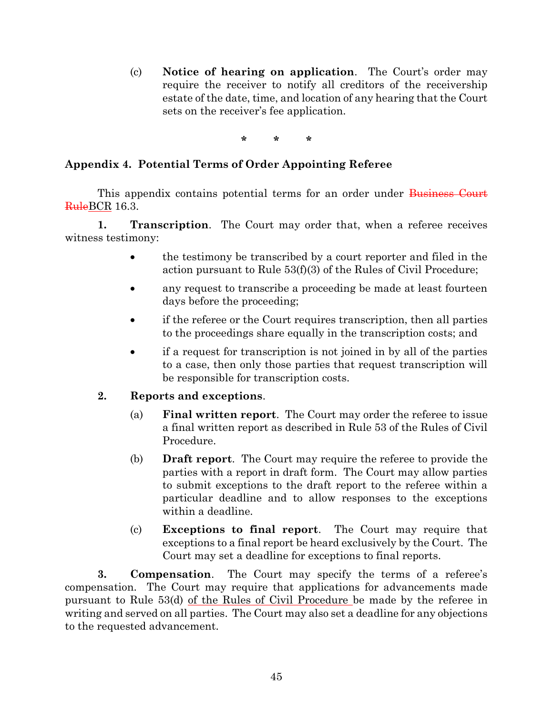(c) **Notice of hearing on application**. The Court's order may require the receiver to notify all creditors of the receivership estate of the date, time, and location of any hearing that the Court sets on the receiver's fee application.

**\* \* \***

### <span id="page-44-0"></span>**Appendix 4. Potential Terms of Order Appointing Referee**

This appendix contains potential terms for an order under Business Court RuleBCR 16.3.

**1. Transcription**. The Court may order that, when a referee receives witness testimony:

- the testimony be transcribed by a court reporter and filed in the action pursuant to Rule 53(f)(3) of the Rules of Civil Procedure;
- any request to transcribe a proceeding be made at least fourteen days before the proceeding;
- if the referee or the Court requires transcription, then all parties to the proceedings share equally in the transcription costs; and
- if a request for transcription is not joined in by all of the parties to a case, then only those parties that request transcription will be responsible for transcription costs.

### **2. Reports and exceptions**.

- (a) **Final written report**. The Court may order the referee to issue a final written report as described in Rule 53 of the Rules of Civil Procedure.
- (b) **Draft report**. The Court may require the referee to provide the parties with a report in draft form. The Court may allow parties to submit exceptions to the draft report to the referee within a particular deadline and to allow responses to the exceptions within a deadline.
- (c) **Exceptions to final report**. The Court may require that exceptions to a final report be heard exclusively by the Court. The Court may set a deadline for exceptions to final reports.

**3. Compensation**. The Court may specify the terms of a referee's compensation. The Court may require that applications for advancements made pursuant to Rule 53(d) of the Rules of Civil Procedure be made by the referee in writing and served on all parties. The Court may also set a deadline for any objections to the requested advancement.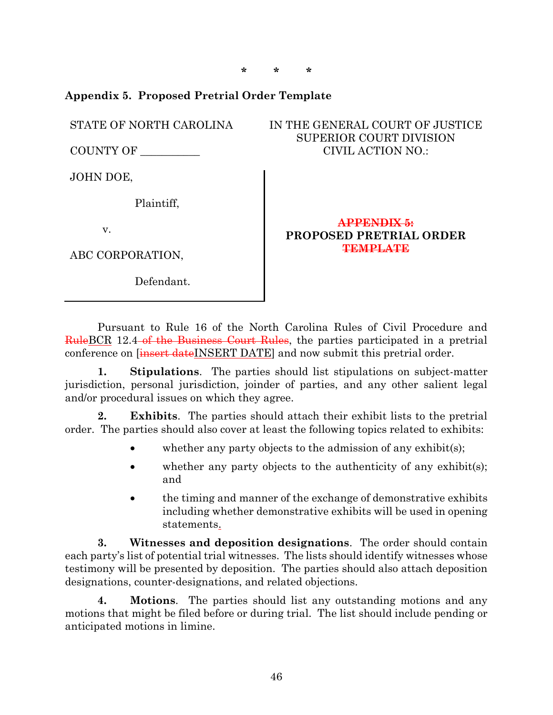**\* \* \***

### <span id="page-45-0"></span>**Appendix 5. Proposed Pretrial Order Template**

STATE OF NORTH CAROLINA

COUNTY OF \_\_\_\_\_\_\_\_\_\_\_

JOHN DOE,

Plaintiff,

v.

ABC CORPORATION,

Defendant.

### IN THE GENERAL COURT OF JUSTICE SUPERIOR COURT DIVISION CIVIL ACTION NO.:

#### **APPENDIX 5: PROPOSED PRETRIAL ORDER TEMPLATE**

Pursuant to Rule 16 of the North Carolina Rules of Civil Procedure and RuleBCR 12.4 of the Business Court Rules, the parties participated in a pretrial conference on [insert dateINSERT DATE] and now submit this pretrial order.

**1. Stipulations**. The parties should list stipulations on subject-matter jurisdiction, personal jurisdiction, joinder of parties, and any other salient legal and/or procedural issues on which they agree.

**2. Exhibits**. The parties should attach their exhibit lists to the pretrial order. The parties should also cover at least the following topics related to exhibits:

- whether any party objects to the admission of any exhibit(s);
- whether any party objects to the authenticity of any exhibit(s); and
- the timing and manner of the exchange of demonstrative exhibits including whether demonstrative exhibits will be used in opening statements.

**3. Witnesses and deposition designations**. The order should contain each party's list of potential trial witnesses. The lists should identify witnesses whose testimony will be presented by deposition. The parties should also attach deposition designations, counter-designations, and related objections.

**4. Motions**. The parties should list any outstanding motions and any motions that might be filed before or during trial. The list should include pending or anticipated motions in limine.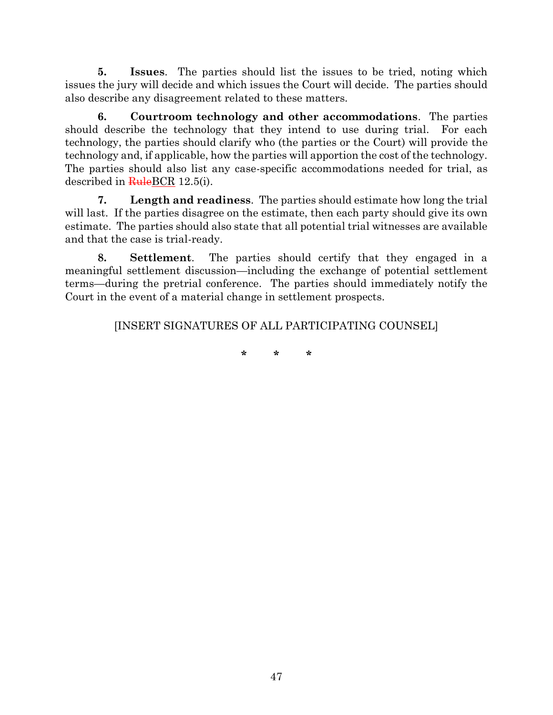**5. Issues**. The parties should list the issues to be tried, noting which issues the jury will decide and which issues the Court will decide. The parties should also describe any disagreement related to these matters.

**6. Courtroom technology and other accommodations**. The parties should describe the technology that they intend to use during trial. For each technology, the parties should clarify who (the parties or the Court) will provide the technology and, if applicable, how the parties will apportion the cost of the technology. The parties should also list any case-specific accommodations needed for trial, as described in  $\frac{\text{Rule}BCR}{12.5(i)}$ .

**7. Length and readiness**. The parties should estimate how long the trial will last. If the parties disagree on the estimate, then each party should give its own estimate. The parties should also state that all potential trial witnesses are available and that the case is trial-ready.

**8. Settlement**. The parties should certify that they engaged in a meaningful settlement discussion—including the exchange of potential settlement terms—during the pretrial conference. The parties should immediately notify the Court in the event of a material change in settlement prospects.

[INSERT SIGNATURES OF ALL PARTICIPATING COUNSEL]

**\* \* \***